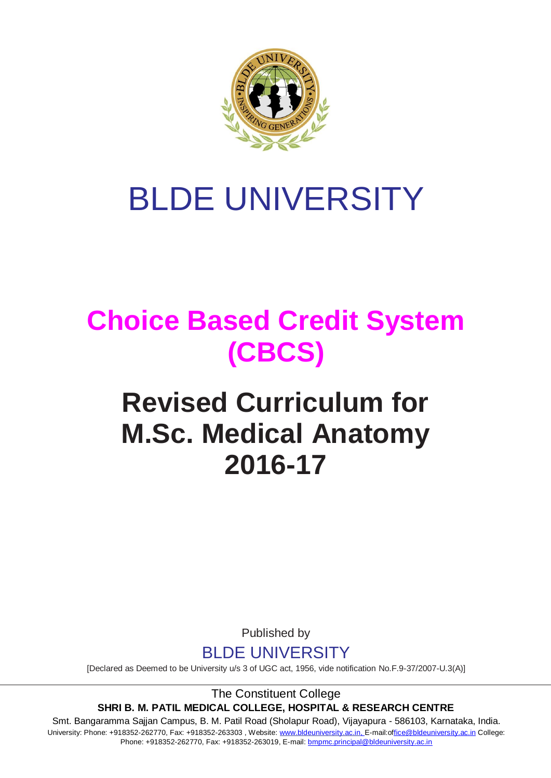

# BLDE UNIVERSITY

## **Choice Based Credit System (CBCS)**

## **Revised Curriculum for M.Sc. Medical Anatomy 2016-17**

Published by



[Declared as Deemed to be University u/s 3 of UGC act, 1956, vide notification No.F.9-37/2007-U.3(A)]

The Constituent College **SHRI B. M. PATIL MEDICAL COLLEGE, HOSPITAL & RESEARCH CENTRE**

Smt. Bangaramma Sajjan Campus, B. M. Patil Road (Sholapur Road), Vijayapura - 586103, Karnataka, India. University: Phone: +918352-262770, Fax: +918352-263303, Website: www.bldeuniversity.ac.in, [E-mail:office@bldeuniversity.ac.in](mailto:office@bldedu.ac.in) College: Phone: +918352-262770, Fax: +918352-263019, E-mail: [bmpmc.principal@bldeuniversity.ac.in](mailto:bmpmc.principal@bldeuniversity.ac.in)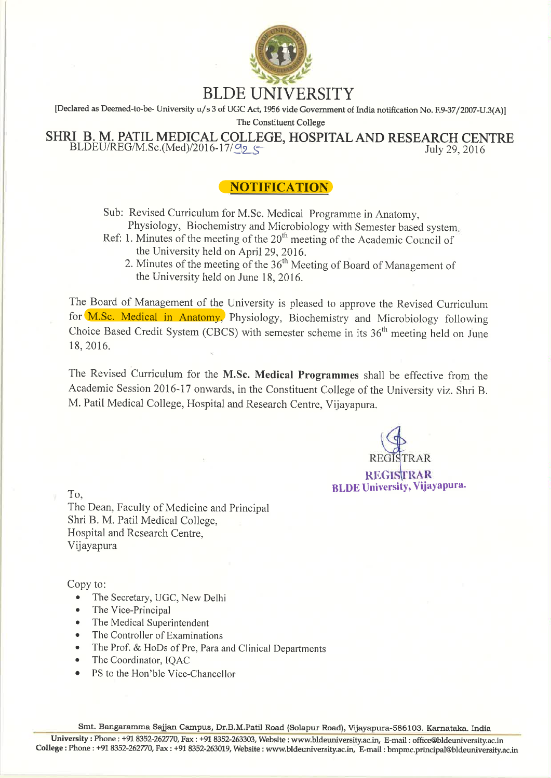

[Declared as Deemed-to-be-University u/s 3 of UGC Act, 1956 vide Government of India notification No. F.9-37/2007-U.3(A)]

The Constituent College

SHRI B. M. PATIL MEDICAL COLLEGE, HOSPITAL AND RESEARCH CENTRE  $BLDEU/REG/M.Sc.(Med)/2016-17/\Omega$ July 29, 2016

## **NOTIFICATION**

Sub: Revised Curriculum for M.Sc. Medical Programme in Anatomy, Physiology, Biochemistry and Microbiology with Semester based system.

- Ref: 1. Minutes of the meeting of the  $20<sup>th</sup>$  meeting of the Academic Council of the University held on April 29, 2016.
	- 2. Minutes of the meeting of the 36<sup>th</sup> Meeting of Board of Management of the University held on June 18, 2016.

The Board of Management of the University is pleased to approve the Revised Curriculum for M.Sc. Medical in Anatomy, Physiology, Biochemistry and Microbiology following Choice Based Credit System (CBCS) with semester scheme in its  $36<sup>th</sup>$  meeting held on June 18, 2016.

The Revised Curriculum for the M.Sc. Medical Programmes shall be effective from the Academic Session 2016-17 onwards, in the Constituent College of the University viz. Shri B. M. Patil Medical College, Hospital and Research Centre, Vijayapura.

**REGISTRAR BLDE University, Vijayapura.** 

To.

The Dean, Faculty of Medicine and Principal Shri B. M. Patil Medical College, Hospital and Research Centre. Vijayapura

Copy to:

- The Secretary, UGC, New Delhi  $\bullet$
- The Vice-Principal
- The Medical Superintendent
- The Controller of Examinations
- The Prof. & HoDs of Pre, Para and Clinical Departments
- The Coordinator, IQAC
- PS to the Hon'ble Vice-Chancellor

Smt. Bangaramma Sajjan Campus, Dr.B.M.Patil Road (Solapur Road), Vijayapura-586103. Karnataka. India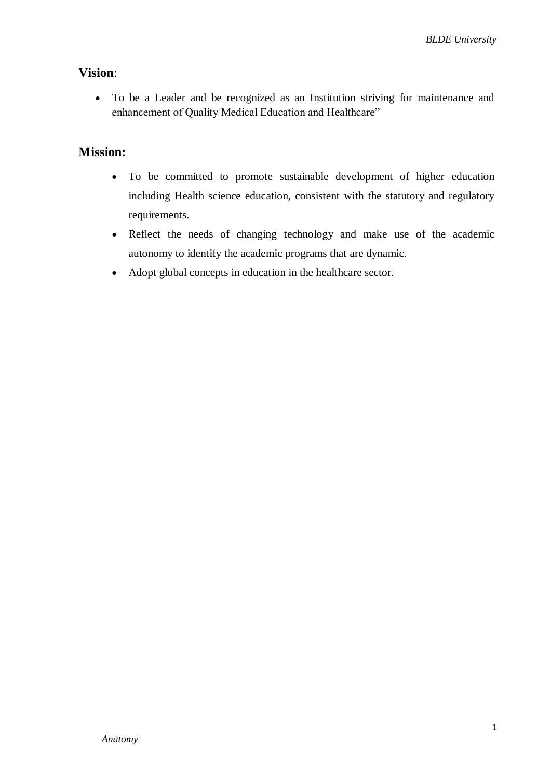## **Vision**:

 To be a Leader and be recognized as an Institution striving for maintenance and enhancement of Quality Medical Education and Healthcare"

## **Mission:**

- To be committed to promote sustainable development of higher education including Health science education, consistent with the statutory and regulatory requirements.
- Reflect the needs of changing technology and make use of the academic autonomy to identify the academic programs that are dynamic.
- Adopt global concepts in education in the healthcare sector.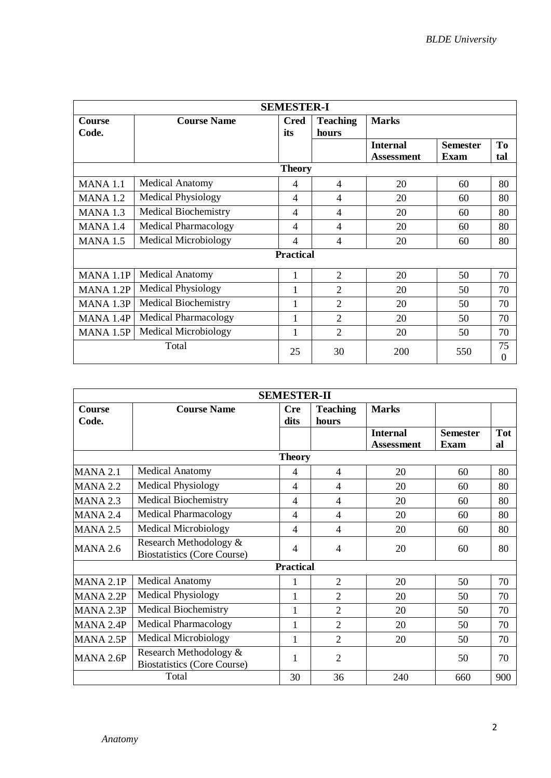|                                                |                             | <b>SEMESTER-I</b>  |                          |                                      |                                |           |
|------------------------------------------------|-----------------------------|--------------------|--------------------------|--------------------------------------|--------------------------------|-----------|
| <b>Course</b><br>Code.                         | <b>Course Name</b>          | <b>Cred</b><br>its | <b>Teaching</b><br>hours | <b>Marks</b>                         |                                |           |
|                                                |                             |                    |                          | <b>Internal</b><br><b>Assessment</b> | <b>Semester</b><br><b>Exam</b> | To<br>tal |
|                                                |                             | <b>Theory</b>      |                          |                                      |                                |           |
| <b>MANA 1.1</b>                                | <b>Medical Anatomy</b>      | 4                  | $\overline{4}$           | 20                                   | 60                             | 80        |
| <b>MANA 1.2</b>                                | <b>Medical Physiology</b>   | 4                  | 4                        | 20                                   | 60                             | 80        |
| <b>MANA 1.3</b>                                | <b>Medical Biochemistry</b> | 4                  | 4                        | 20                                   | 60                             | 80        |
| MANA 1.4                                       | <b>Medical Pharmacology</b> | 4                  | 4                        | 20                                   | 60                             | 80        |
| <b>Medical Microbiology</b><br><b>MANA 1.5</b> |                             |                    | $\overline{\mathcal{A}}$ | 20                                   | 60                             | 80        |
|                                                |                             | <b>Practical</b>   |                          |                                      |                                |           |
| MANA 1.1P                                      | <b>Medical Anatomy</b>      | 1                  | $\overline{2}$           | 20                                   | 50                             | 70        |
| MANA 1.2P                                      | <b>Medical Physiology</b>   | 1                  | $\overline{2}$           | 20                                   | 50                             | 70        |
| MANA 1.3P                                      | <b>Medical Biochemistry</b> |                    | $\overline{2}$           | 20                                   | 50                             | 70        |
| MANA 1.4P                                      | <b>Medical Pharmacology</b> |                    | $\overline{2}$           | 20                                   | 50                             | 70        |
| MANA 1.5P                                      | <b>Medical Microbiology</b> |                    | $\overline{2}$           | 20                                   | 50                             | 70        |
|                                                | Total                       | 25                 | 30                       | 200                                  | 550                            | 75<br>0   |

|                                                                                 |                             | <b>SEMESTER-II</b> |                          |                                      |                         |                  |
|---------------------------------------------------------------------------------|-----------------------------|--------------------|--------------------------|--------------------------------------|-------------------------|------------------|
| <b>Course</b><br>Code.                                                          | <b>Course Name</b>          | <b>Cre</b><br>dits | <b>Teaching</b><br>hours | <b>Marks</b>                         |                         |                  |
|                                                                                 |                             |                    |                          | <b>Internal</b><br><b>Assessment</b> | <b>Semester</b><br>Exam | <b>Tot</b><br>al |
|                                                                                 |                             | <b>Theory</b>      |                          |                                      |                         |                  |
| <b>MANA 2.1</b>                                                                 | <b>Medical Anatomy</b>      | 4                  | $\overline{4}$           | 20                                   | 60                      | 80               |
| <b>MANA 2.2</b>                                                                 | <b>Medical Physiology</b>   | 4                  | $\overline{4}$           | 20                                   | 60                      | 80               |
| <b>MANA 2.3</b>                                                                 | <b>Medical Biochemistry</b> | 4                  | $\overline{4}$           | 20                                   | 60                      | 80               |
| <b>MANA 2.4</b>                                                                 | <b>Medical Pharmacology</b> | 4                  | $\overline{4}$           | 20                                   | 60                      | 80               |
| <b>MANA 2.5</b>                                                                 | <b>Medical Microbiology</b> | 4                  | $\overline{4}$           | 20                                   | 60                      | 80               |
| Research Methodology &<br><b>MANA 2.6</b><br><b>Biostatistics (Core Course)</b> |                             |                    | $\overline{4}$           | 20                                   | 60                      | 80               |
|                                                                                 |                             | <b>Practical</b>   |                          |                                      |                         |                  |
| MANA 2.1P                                                                       | <b>Medical Anatomy</b>      | 1                  | $\overline{2}$           | 20                                   | 50                      | 70               |
| MANA 2.2P                                                                       | <b>Medical Physiology</b>   | 1                  | $\overline{2}$           | 20                                   | 50                      | 70               |
| MANA 2.3P                                                                       | <b>Medical Biochemistry</b> | $\mathbf{1}$       | $\overline{2}$           | 20                                   | 50                      | 70               |
| MANA 2.4P                                                                       | <b>Medical Pharmacology</b> | $\mathbf{1}$       | $\overline{2}$           | 20                                   | 50                      | 70               |
| MANA 2.5P                                                                       | <b>Medical Microbiology</b> | 1                  | $\overline{2}$           | 20                                   | 50                      | 70               |
| Research Methodology &<br>MANA 2.6P<br><b>Biostatistics (Core Course)</b>       |                             | 1                  | $\overline{2}$           |                                      | 50                      | 70               |
|                                                                                 | Total                       | 30                 | 36                       | 240                                  | 660                     | 900              |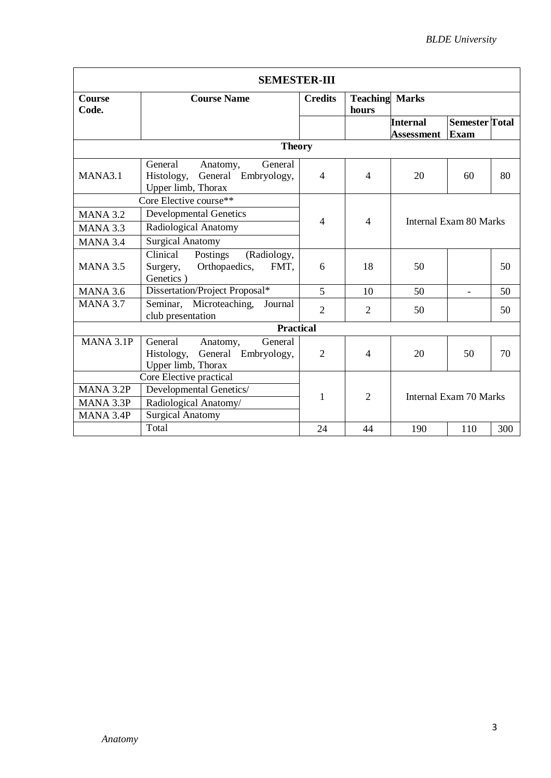|                        | <b>SEMESTER-III</b>                                                                       |                |                                |                        |                                      |     |  |
|------------------------|-------------------------------------------------------------------------------------------|----------------|--------------------------------|------------------------|--------------------------------------|-----|--|
| <b>Course</b><br>Code. | <b>Course Name</b>                                                                        | <b>Credits</b> | <b>Teaching Marks</b><br>hours |                        |                                      |     |  |
|                        |                                                                                           |                |                                | Internal<br>Assessment | <b>Semester</b> Total<br><b>Exam</b> |     |  |
|                        | <b>Theory</b>                                                                             |                |                                |                        |                                      |     |  |
| MANA3.1                | General<br>General<br>Anatomy,<br>General Embryology,<br>Histology,<br>Upper limb, Thorax | $\overline{4}$ | $\overline{4}$                 | 20                     | 60                                   | 80  |  |
|                        | Core Elective course**                                                                    |                |                                |                        |                                      |     |  |
| <b>MANA 3.2</b>        | <b>Developmental Genetics</b>                                                             | $\overline{4}$ | $\overline{4}$                 | Internal Exam 80 Marks |                                      |     |  |
| MANA 3.3               | Radiological Anatomy                                                                      |                |                                |                        |                                      |     |  |
| <b>MANA 3.4</b>        | <b>Surgical Anatomy</b>                                                                   |                |                                |                        |                                      |     |  |
| <b>MANA 3.5</b>        | Clinical<br>Postings<br>(Radiology,<br>Orthopaedics,<br>FMT.<br>Surgery,<br>Genetics)     | 6              | 18                             | 50                     |                                      | 50  |  |
| <b>MANA 3.6</b>        | Dissertation/Project Proposal*                                                            | 5              | 10                             | 50                     |                                      | 50  |  |
| <b>MANA 3.7</b>        | Microteaching,<br>Seminar,<br>Journal<br>club presentation                                | $\overline{2}$ | 2                              | 50                     |                                      | 50  |  |
|                        | <b>Practical</b>                                                                          |                |                                |                        |                                      |     |  |
| MANA 3.1P              | General<br>General<br>Anatomy,<br>General Embryology,<br>Histology,<br>Upper limb, Thorax | $\overline{2}$ | 4                              | 20                     | 50                                   | 70  |  |
|                        | Core Elective practical                                                                   |                |                                |                        |                                      |     |  |
| MANA 3.2P              | Developmental Genetics/                                                                   | 1              | $\overline{2}$                 |                        |                                      |     |  |
| MANA 3.3P              | Radiological Anatomy/                                                                     |                |                                | Internal Exam 70 Marks |                                      |     |  |
| MANA 3.4P              | <b>Surgical Anatomy</b>                                                                   |                |                                |                        |                                      |     |  |
|                        | Total                                                                                     | 24             | 44                             | 190                    | 110                                  | 300 |  |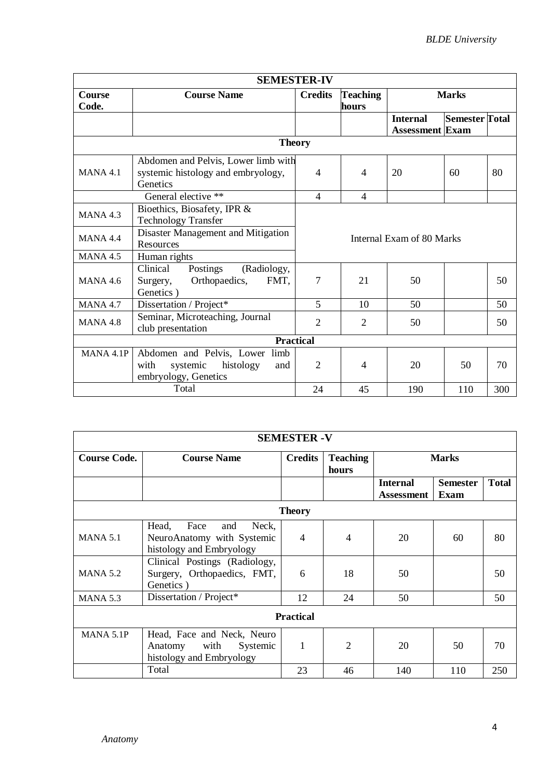|                  | <b>SEMESTER-IV</b>                   |                |                          |                           |                       |     |  |  |
|------------------|--------------------------------------|----------------|--------------------------|---------------------------|-----------------------|-----|--|--|
| <b>Course</b>    | <b>Course Name</b>                   | <b>Credits</b> | <b>Teaching</b>          |                           | <b>Marks</b>          |     |  |  |
| Code.            |                                      |                | hours                    |                           |                       |     |  |  |
|                  |                                      |                |                          | <b>Internal</b>           | <b>Semester Total</b> |     |  |  |
|                  |                                      |                |                          | <b>Assessment</b> Exam    |                       |     |  |  |
|                  | <b>Theory</b>                        |                |                          |                           |                       |     |  |  |
|                  | Abdomen and Pelvis, Lower limb with  |                |                          |                           |                       |     |  |  |
| <b>MANA 4.1</b>  | systemic histology and embryology,   | $\overline{4}$ | $\overline{4}$           | 20                        | 60                    | 80  |  |  |
|                  | Genetics                             |                |                          |                           |                       |     |  |  |
|                  | General elective **                  | $\overline{4}$ | $\overline{\mathcal{A}}$ |                           |                       |     |  |  |
| <b>MANA 4.3</b>  | Bioethics, Biosafety, IPR &          |                |                          |                           |                       |     |  |  |
|                  | <b>Technology Transfer</b>           |                |                          |                           |                       |     |  |  |
| <b>MANA 4.4</b>  | Disaster Management and Mitigation   |                |                          | Internal Exam of 80 Marks |                       |     |  |  |
|                  | Resources                            |                |                          |                           |                       |     |  |  |
| <b>MANA 4.5</b>  | Human rights                         |                |                          |                           |                       |     |  |  |
|                  | Clinical<br>Postings<br>(Radiology,  |                |                          |                           |                       |     |  |  |
| <b>MANA 4.6</b>  | Orthopaedics,<br>FMT,<br>Surgery,    | 7              | 21                       | 50                        |                       | 50  |  |  |
|                  | Genetics)                            |                |                          |                           |                       |     |  |  |
| <b>MANA 4.7</b>  | Dissertation / Project*              | 5              | 10                       | 50                        |                       | 50  |  |  |
| <b>MANA 4.8</b>  | Seminar, Microteaching, Journal      | $\overline{2}$ | $\overline{2}$           | 50                        |                       | 50  |  |  |
|                  | club presentation                    |                |                          |                           |                       |     |  |  |
| <b>Practical</b> |                                      |                |                          |                           |                       |     |  |  |
| MANA 4.1P        | Abdomen and Pelvis, Lower limb       |                |                          |                           |                       |     |  |  |
|                  | systemic<br>histology<br>with<br>and | $\overline{2}$ | 4                        | 20                        | 50                    | 70  |  |  |
|                  | embryology, Genetics                 |                |                          |                           |                       |     |  |  |
|                  | Total                                | 24             | 45                       | 190                       | 110                   | 300 |  |  |

|                     |                                                                                         | <b>SEMESTER - V</b>                  |                          |     |              |     |  |
|---------------------|-----------------------------------------------------------------------------------------|--------------------------------------|--------------------------|-----|--------------|-----|--|
| <b>Course Code.</b> | <b>Course Name</b>                                                                      | <b>Credits</b>                       | <b>Teaching</b><br>hours |     | <b>Marks</b> |     |  |
|                     |                                                                                         | <b>Internal</b><br><b>Assessment</b> |                          |     |              |     |  |
|                     |                                                                                         | <b>Theory</b>                        |                          |     |              |     |  |
| <b>MANA 5.1</b>     | Head,<br>Face<br>Neck,<br>and<br>NeuroAnatomy with Systemic<br>histology and Embryology | $\overline{4}$                       | $\overline{4}$           | 20  | 60           | 80  |  |
| <b>MANA 5.2</b>     | Clinical Postings (Radiology,<br>Surgery, Orthopaedics, FMT,<br>Genetics)               | 6                                    | 18                       | 50  |              | 50  |  |
| <b>MANA 5.3</b>     | Dissertation / Project*                                                                 | 12                                   | 24                       | 50  |              | 50  |  |
|                     |                                                                                         | <b>Practical</b>                     |                          |     |              |     |  |
| MANA 5.1P           | Head, Face and Neck, Neuro<br>with<br>Systemic<br>Anatomy<br>histology and Embryology   | 1                                    | $\overline{2}$           | 20  | 50           | 70  |  |
|                     | Total                                                                                   | 23                                   | 46                       | 140 | 110          | 250 |  |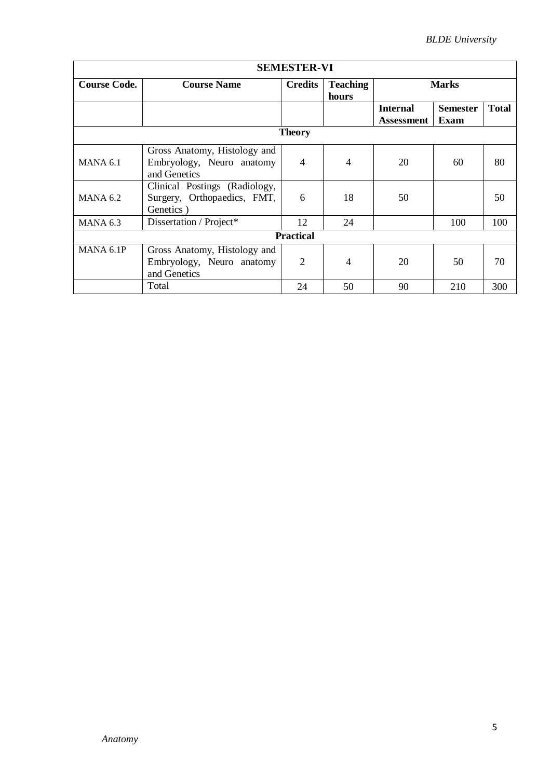|                     |                                                                           | <b>SEMESTER-VI</b>                         |                |                   |                 |              |  |  |  |
|---------------------|---------------------------------------------------------------------------|--------------------------------------------|----------------|-------------------|-----------------|--------------|--|--|--|
| <b>Course Code.</b> | <b>Course Name</b>                                                        | <b>Credits</b><br><b>Teaching</b><br>hours |                | <b>Marks</b>      |                 |              |  |  |  |
|                     |                                                                           |                                            |                | <b>Internal</b>   | <b>Semester</b> | <b>Total</b> |  |  |  |
|                     |                                                                           |                                            |                | <b>Assessment</b> | Exam            |              |  |  |  |
|                     |                                                                           | <b>Theory</b>                              |                |                   |                 |              |  |  |  |
| $MANA$ 6.1          | Gross Anatomy, Histology and<br>Embryology, Neuro anatomy<br>and Genetics | $\overline{4}$                             | $\overline{4}$ | 20                | 60              | 80           |  |  |  |
| $MANA$ 6.2          | Clinical Postings (Radiology,<br>Surgery, Orthopaedics, FMT,<br>Genetics) | 6                                          | 18             | 50                |                 | 50           |  |  |  |
| <b>MANA 6.3</b>     | Dissertation / Project*                                                   | 12                                         | 24             |                   | 100             | 100          |  |  |  |
|                     |                                                                           | <b>Practical</b>                           |                |                   |                 |              |  |  |  |
| MANA 6.1P           | Gross Anatomy, Histology and<br>Embryology, Neuro anatomy<br>and Genetics | $\overline{2}$                             | 4              | 20                | 50              | 70           |  |  |  |
|                     | Total                                                                     | 24                                         | 50             | 90                | 210             | 300          |  |  |  |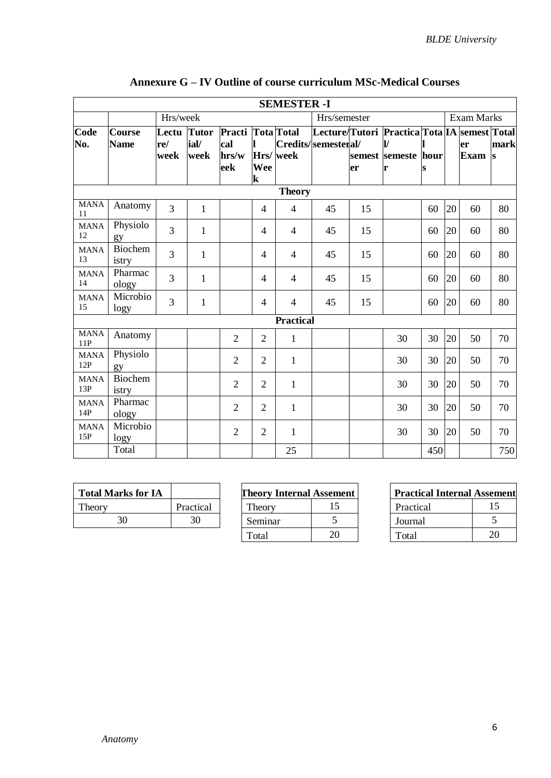|                    |                              |                      |                              |                                          |                | <b>SEMESTER -I</b> |                     |    |                                                                                  |     |                   |                   |                      |
|--------------------|------------------------------|----------------------|------------------------------|------------------------------------------|----------------|--------------------|---------------------|----|----------------------------------------------------------------------------------|-----|-------------------|-------------------|----------------------|
|                    |                              | Hrs/week             |                              |                                          |                |                    | Hrs/semester        |    |                                                                                  |     | <b>Exam Marks</b> |                   |                      |
| Code<br>No.        | <b>Course</b><br><b>Name</b> | Lectu<br>re/<br>week | <b>Tutor</b><br>ial/<br>week | Practi Tota Total<br>cal<br>hrs/w<br>eek | Wee<br>k       | Hrs/week           | Credits/semesteral/ | er | Lecture/Tutori Practica Tota IA semest Total<br>IV.<br>semest semeste hour<br>lr |     |                   | er<br><b>Exam</b> | mark<br><sub>s</sub> |
|                    |                              |                      |                              |                                          |                | <b>Theory</b>      |                     |    |                                                                                  |     |                   |                   |                      |
| <b>MANA</b><br>11  | Anatomy                      | 3                    | 1                            |                                          | $\overline{4}$ | $\overline{4}$     | 45                  | 15 |                                                                                  | 60  | 20                | 60                | 80                   |
| <b>MANA</b><br>12  | Physiolo<br>gy               | 3                    | $\mathbf{1}$                 |                                          | 4              | $\overline{4}$     | 45                  | 15 |                                                                                  | 60  | 20                | 60                | 80                   |
| <b>MANA</b><br>13  | Biochem<br>istry             | 3                    | $\mathbf{1}$                 |                                          | 4              | 4                  | 45                  | 15 |                                                                                  | 60  | 20                | 60                | 80                   |
| <b>MANA</b><br>14  | Pharmac<br>ology             | 3                    | $\mathbf{1}$                 |                                          | 4              | $\overline{4}$     | 45                  | 15 |                                                                                  | 60  | 20                | 60                | 80                   |
| <b>MANA</b><br>15  | Microbio<br>logy             | 3                    | 1                            |                                          | $\overline{4}$ | 4                  | 45                  | 15 |                                                                                  | 60  | 20                | 60                | 80                   |
|                    |                              |                      |                              |                                          |                | <b>Practical</b>   |                     |    |                                                                                  |     |                   |                   |                      |
| <b>MANA</b><br>11P | Anatomy                      |                      |                              | $\overline{2}$                           | $\overline{2}$ | $\mathbf{1}$       |                     |    | 30                                                                               | 30  | 20                | 50                | 70                   |
| <b>MANA</b><br>12P | Physiolo<br>gy               |                      |                              | $\overline{2}$                           | $\overline{2}$ | $\mathbf{1}$       |                     |    | 30                                                                               | 30  | 20                | 50                | 70                   |
| <b>MANA</b><br>13P | Biochem<br>istry             |                      |                              | $\overline{2}$                           | $\overline{2}$ | $\mathbf{1}$       |                     |    | 30                                                                               | 30  | 20                | 50                | 70                   |
| <b>MANA</b><br>14P | Pharmac<br>ology             |                      |                              | $\overline{2}$                           | $\overline{2}$ | $\mathbf{1}$       |                     |    | 30                                                                               | 30  | 20                | 50                | 70                   |
| <b>MANA</b><br>15P | Microbio<br>logy             |                      |                              | $\overline{2}$                           | $\overline{2}$ | $\mathbf{1}$       |                     |    | 30                                                                               | 30  | 20                | 50                | 70                   |
|                    | Total                        |                      |                              |                                          |                | 25                 |                     |    |                                                                                  | 450 |                   |                   | 750                  |

## **Annexure G – IV Outline of course curriculum MSc-Medical Courses**

| <b>Total Marks for IA</b> |           | <b>Theory Internal Assement</b> |  |  | <b>Practical Internal Assement</b> |  |
|---------------------------|-----------|---------------------------------|--|--|------------------------------------|--|
| Theory                    | Practical | `heorv                          |  |  | Practical                          |  |
|                           | 30        | Seminar                         |  |  | Journal                            |  |
|                           |           |                                 |  |  |                                    |  |

| rks for IA |           | <b>Theory Internal Assement</b> |    | <b>Practical Internal Assen</b> |    |
|------------|-----------|---------------------------------|----|---------------------------------|----|
|            | Practical | l heorv                         |    | Practical                       |    |
| 30         |           | Seminar                         |    | Journal                         |    |
|            |           | Total                           | 20 | Total                           | 20 |

| <b>Practical Internal Assement</b> |    |  |  |  |  |  |
|------------------------------------|----|--|--|--|--|--|
| Practical                          | 15 |  |  |  |  |  |
| Journal                            |    |  |  |  |  |  |
| Total                              | 20 |  |  |  |  |  |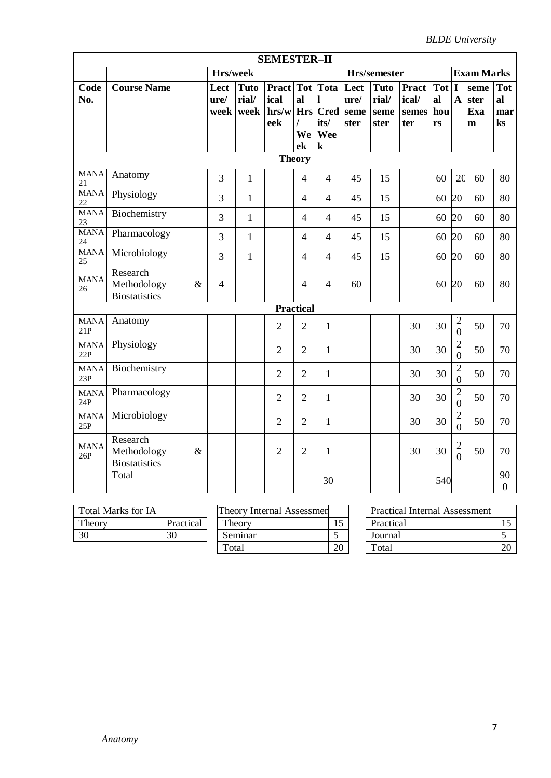|                       | <b>SEMESTER-II</b>   |                 |              |                |                          |                       |      |              |              |       |                                  |                   |                |
|-----------------------|----------------------|-----------------|--------------|----------------|--------------------------|-----------------------|------|--------------|--------------|-------|----------------------------------|-------------------|----------------|
|                       |                      | Hrs/week        |              |                |                          |                       |      | Hrs/semester |              |       |                                  | <b>Exam Marks</b> |                |
| Code                  | <b>Course Name</b>   | Lect            | <b>Tuto</b>  | Pract Tot Tota |                          |                       | Lect | <b>Tuto</b>  | <b>Pract</b> | Tot I |                                  | seme              | <b>Tot</b>     |
| No.                   |                      | $\mathbf{ure}/$ | rial/        | ical           | al                       | $\mathbf{l}$          | ure/ | rial/        | ical/        | al    | $\mathbf{A}$                     | ster              | al             |
|                       |                      | week            | week         | hrs/w          |                          | Hrs Cred seme         |      | seme         | semes        | hou   |                                  | Exa               | mar            |
|                       |                      |                 |              | eek            | $\prime$                 | its/                  | ster | ster         | ter          | rs    |                                  | $\mathbf{m}$      | $\bf ks$       |
|                       |                      |                 |              |                | ek                       | We Wee<br>$\mathbf k$ |      |              |              |       |                                  |                   |                |
|                       | <b>Theory</b>        |                 |              |                |                          |                       |      |              |              |       |                                  |                   |                |
|                       | <b>MANA</b>          |                 |              |                |                          |                       |      |              |              |       |                                  |                   |                |
| 21                    | Anatomy              | 3               | $\mathbf{1}$ |                | $\overline{4}$           | $\overline{4}$        | 45   | 15           |              | 60    | 20                               | 60                | 80             |
| <b>MANA</b><br>$22\,$ | Physiology           | 3               | $\mathbf{1}$ |                | $\overline{4}$           | $\overline{4}$        | 45   | 15           |              | 60    | 20                               | 60                | 80             |
| <b>MANA</b><br>23     | Biochemistry         | 3               | $\mathbf{1}$ |                | $\overline{\mathcal{A}}$ | $\overline{4}$        | 45   | 15           |              | 60    | 20                               | 60                | 80             |
| <b>MANA</b><br>24     | Pharmacology         | 3               | $\mathbf{1}$ |                | 4                        | $\overline{4}$        | 45   | 15           |              | 60    | 20                               | 60                | 80             |
| <b>MANA</b><br>25     | Microbiology         | 3               | $\mathbf{1}$ |                | $\overline{4}$           | $\overline{4}$        | 45   | 15           |              | 60    | 20                               | 60                | 80             |
| <b>MANA</b>           | Research             |                 |              |                |                          |                       |      |              |              |       |                                  |                   |                |
| 26                    | Methodology<br>&     | $\overline{4}$  |              |                | 4                        | $\overline{4}$        | 60   |              |              | 60    | 20                               | 60                | 80             |
|                       | <b>Biostatistics</b> |                 |              |                |                          |                       |      |              |              |       |                                  |                   |                |
|                       |                      |                 |              |                | <b>Practical</b>         |                       |      |              |              |       |                                  |                   |                |
| <b>MANA</b><br>21P    | Anatomy              |                 |              | $\overline{2}$ | $\overline{2}$           | $\mathbf{1}$          |      |              | 30           | 30    | $\overline{c}$<br>$\overline{0}$ | 50                | 70             |
| <b>MANA</b><br>22P    | Physiology           |                 |              | $\overline{2}$ | $\overline{2}$           | $\mathbf{1}$          |      |              | 30           | 30    | $\overline{2}$<br>$\Omega$       | 50                | 70             |
| <b>MANA</b>           | Biochemistry         |                 |              |                |                          |                       |      |              |              |       | $\overline{2}$                   |                   |                |
| 23P                   |                      |                 |              | $\overline{2}$ | $\overline{2}$           | $\mathbf{1}$          |      |              | 30           | 30    | $\overline{0}$                   | 50                | 70             |
| <b>MANA</b><br>24P    | Pharmacology         |                 |              | $\overline{2}$ | $\overline{2}$           | $\mathbf{1}$          |      |              | 30           | 30    | $\mathbf{2}$                     | 50                | 70             |
|                       |                      |                 |              |                |                          |                       |      |              |              |       | $\Omega$                         |                   |                |
| <b>MANA</b><br>25P    | Microbiology         |                 |              | $\overline{2}$ | $\overline{2}$           | $\mathbf{1}$          |      |              | 30           | 30    | $\overline{2}$<br>$\Omega$       | 50                | 70             |
| <b>MANA</b>           | Research             |                 |              |                |                          |                       |      |              |              |       | $\mathbf{2}$                     |                   |                |
| 26P                   | Methodology<br>$\&$  |                 |              | $\overline{2}$ | $\overline{2}$           | $\mathbf 1$           |      |              | 30           | 30    | $\Omega$                         | 50                | 70             |
|                       | <b>Biostatistics</b> |                 |              |                |                          |                       |      |              |              |       |                                  |                   |                |
|                       | Total                |                 |              |                |                          | 30                    |      |              |              | 540   |                                  |                   | 90             |
|                       |                      |                 |              |                |                          |                       |      |              |              |       |                                  |                   | $\overline{0}$ |

| <b>Total Marks for IA</b> |           |
|---------------------------|-----------|
| Theory                    | Practical |
| 30                        |           |

| Total Marks for IA |           | <b>Theory Internal Assessmen</b> |    | <b>Practical Internal Assessment</b> |
|--------------------|-----------|----------------------------------|----|--------------------------------------|
| Theory             | Practical | Theory                           |    | Practical                            |
| 30                 | 30        | Seminar                          |    | Journal                              |
|                    |           | Total                            | ററ | Total                                |

| Total Marks for IA |           | <b>Theory Internal Assessmen</b> |    | <b>Practical Internal Assessment</b> |    |
|--------------------|-----------|----------------------------------|----|--------------------------------------|----|
|                    |           |                                  |    |                                      |    |
| Theory             | Practical | Theory                           | ⊥J | Practical                            |    |
| 30                 | 30        | Seminar                          |    | Journal                              |    |
|                    |           | Total                            | 20 | Total                                | 20 |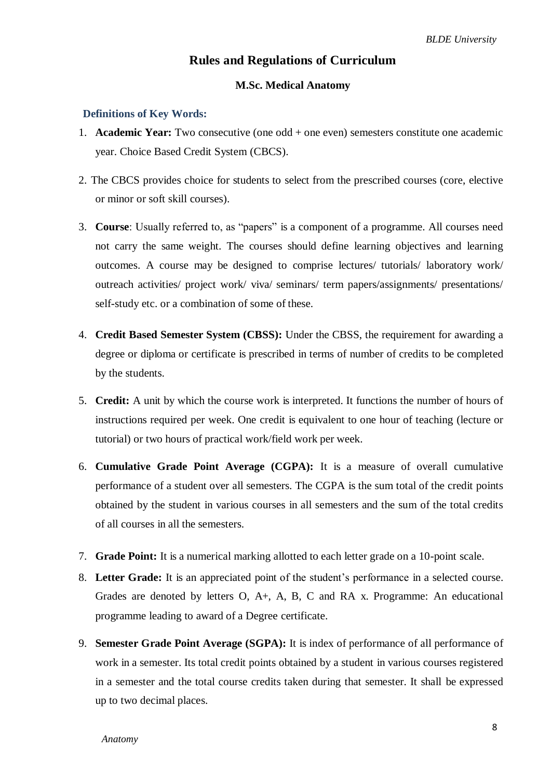## **Rules and Regulations of Curriculum**

#### **M.Sc. Medical Anatomy**

#### **Definitions of Key Words:**

- 1. **Academic Year:** Two consecutive (one odd + one even) semesters constitute one academic year. Choice Based Credit System (CBCS).
- 2. The CBCS provides choice for students to select from the prescribed courses (core, elective or minor or soft skill courses).
- 3. **Course**: Usually referred to, as "papers" is a component of a programme. All courses need not carry the same weight. The courses should define learning objectives and learning outcomes. A course may be designed to comprise lectures/ tutorials/ laboratory work/ outreach activities/ project work/ viva/ seminars/ term papers/assignments/ presentations/ self-study etc. or a combination of some of these.
- 4. **Credit Based Semester System (CBSS):** Under the CBSS, the requirement for awarding a degree or diploma or certificate is prescribed in terms of number of credits to be completed by the students.
- 5. **Credit:** A unit by which the course work is interpreted. It functions the number of hours of instructions required per week. One credit is equivalent to one hour of teaching (lecture or tutorial) or two hours of practical work/field work per week.
- 6. **Cumulative Grade Point Average (CGPA):** It is a measure of overall cumulative performance of a student over all semesters. The CGPA is the sum total of the credit points obtained by the student in various courses in all semesters and the sum of the total credits of all courses in all the semesters.
- 7. **Grade Point:** It is a numerical marking allotted to each letter grade on a 10-point scale.
- 8. **Letter Grade:** It is an appreciated point of the student's performance in a selected course. Grades are denoted by letters O, A+, A, B, C and RA x. Programme: An educational programme leading to award of a Degree certificate.
- 9. **Semester Grade Point Average (SGPA):** It is index of performance of all performance of work in a semester. Its total credit points obtained by a student in various courses registered in a semester and the total course credits taken during that semester. It shall be expressed up to two decimal places.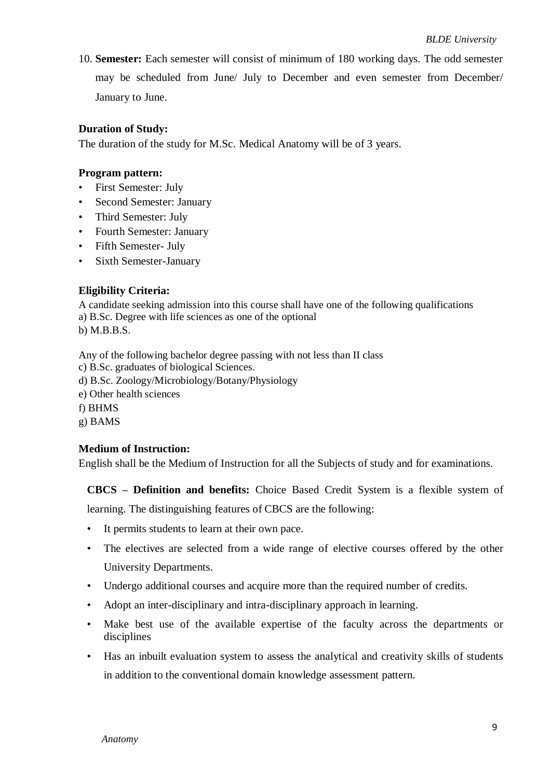10. **Semester:** Each semester will consist of minimum of 180 working days. The odd semester may be scheduled from June/ July to December and even semester from December/ January to June.

#### **Duration of Study:**

The duration of the study for M.Sc. Medical Anatomy will be of 3 years.

#### **Program pattern:**

- First Semester: July
- Second Semester: January
- Third Semester: July
- Fourth Semester: January
- Fifth Semester- July
- Sixth Semester-January

#### **Eligibility Criteria:**

A candidate seeking admission into this course shall have one of the following qualifications a) B.Sc. Degree with life sciences as one of the optional

b) M.B.B.S.

Any of the following bachelor degree passing with not less than II class

- c) B.Sc. graduates of biological Sciences.
- d) B.Sc. Zoology/Microbiology/Botany/Physiology
- e) Other health sciences

f) BHMS

g) BAMS

#### **Medium of Instruction:**

English shall be the Medium of Instruction for all the Subjects of study and for examinations.

**CBCS – Definition and benefits:** Choice Based Credit System is a flexible system of

learning. The distinguishing features of CBCS are the following:

- It permits students to learn at their own pace.
- The electives are selected from a wide range of elective courses offered by the other University Departments.
- Undergo additional courses and acquire more than the required number of credits.
- Adopt an inter-disciplinary and intra-disciplinary approach in learning.
- Make best use of the available expertise of the faculty across the departments or disciplines
- Has an inbuilt evaluation system to assess the analytical and creativity skills of students in addition to the conventional domain knowledge assessment pattern.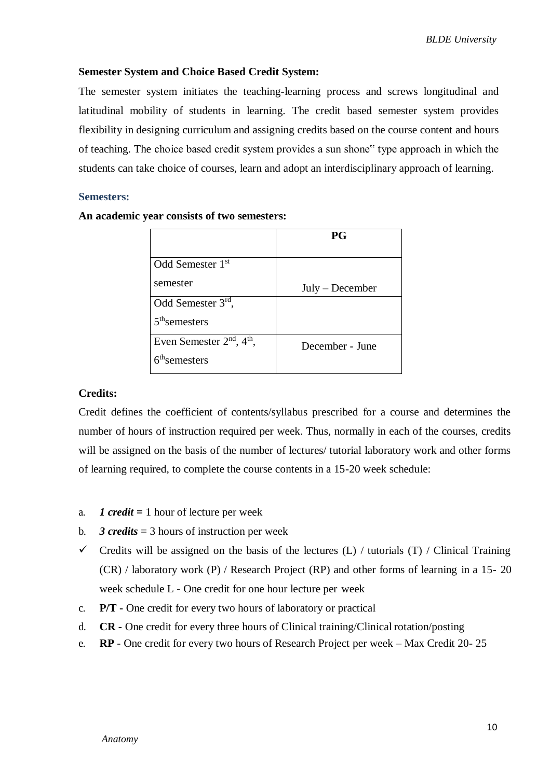#### **Semester System and Choice Based Credit System:**

The semester system initiates the teaching-learning process and screws longitudinal and latitudinal mobility of students in learning. The credit based semester system provides flexibility in designing curriculum and assigning credits based on the course content and hours of teaching. The choice based credit system provides a sun shone" type approach in which the students can take choice of courses, learn and adopt an interdisciplinary approach of learning.

#### **Semesters:**

|                               | <b>PG</b>         |
|-------------------------------|-------------------|
| Odd Semester 1 <sup>st</sup>  |                   |
| semester                      | $July - December$ |
| Odd Semester 3rd,             |                   |
| $5th$ semesters               |                   |
| Even Semester $2nd$ , $4th$ , | December - June   |
| 6 <sup>th</sup> semesters     |                   |

#### **An academic year consists of two semesters:**

#### **Credits:**

Credit defines the coefficient of contents/syllabus prescribed for a course and determines the number of hours of instruction required per week. Thus, normally in each of the courses, credits will be assigned on the basis of the number of lectures/ tutorial laboratory work and other forms of learning required, to complete the course contents in a 15-20 week schedule:

- a. *1 credit =* 1 hour of lecture per week
- b. **3 credits** = 3 hours of instruction per week
- $\checkmark$  Credits will be assigned on the basis of the lectures (L) / tutorials (T) / Clinical Training (CR) / laboratory work (P) / Research Project (RP) and other forms of learning in a 15- 20 week schedule L - One credit for one hour lecture per week
- c. **P/T -** One credit for every two hours of laboratory or practical
- d. **CR -** One credit for every three hours of Clinical training/Clinical rotation/posting
- e. **RP**  One credit for every two hours of Research Project per week Max Credit 20- 25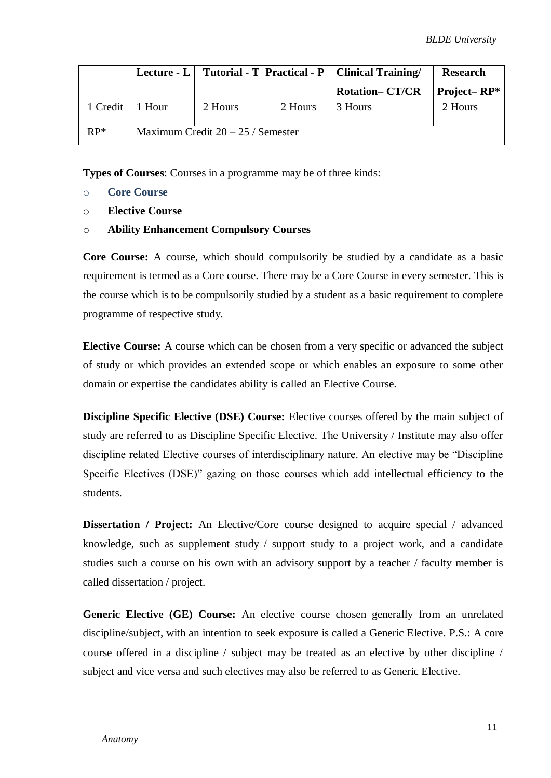|          |        |                                     |         | Lecture - L   Tutorial - T   Practical - P   Clinical Training | <b>Research</b> |
|----------|--------|-------------------------------------|---------|----------------------------------------------------------------|-----------------|
|          |        |                                     |         | <b>Rotation-CT/CR</b>                                          | Project–RP $*$  |
| 1 Credit | 1 Hour | 2 Hours                             | 2 Hours | 3 Hours                                                        | 2 Hours         |
| $RP^*$   |        | Maximum Credit $20 - 25$ / Semester |         |                                                                |                 |

**Types of Courses**: Courses in a programme may be of three kinds:

- o **Core Course**
- o **Elective Course**
- o **Ability Enhancement Compulsory Courses**

**Core Course:** A course, which should compulsorily be studied by a candidate as a basic requirement is termed as a Core course. There may be a Core Course in every semester. This is the course which is to be compulsorily studied by a student as a basic requirement to complete programme of respective study.

**Elective Course:** A course which can be chosen from a very specific or advanced the subject of study or which provides an extended scope or which enables an exposure to some other domain or expertise the candidates ability is called an Elective Course.

**Discipline Specific Elective (DSE) Course:** Elective courses offered by the main subject of study are referred to as Discipline Specific Elective. The University / Institute may also offer discipline related Elective courses of interdisciplinary nature. An elective may be "Discipline Specific Electives (DSE)" gazing on those courses which add intellectual efficiency to the students.

**Dissertation / Project:** An Elective/Core course designed to acquire special / advanced knowledge, such as supplement study / support study to a project work, and a candidate studies such a course on his own with an advisory support by a teacher / faculty member is called dissertation / project.

**Generic Elective (GE) Course:** An elective course chosen generally from an unrelated discipline/subject, with an intention to seek exposure is called a Generic Elective. P.S.: A core course offered in a discipline / subject may be treated as an elective by other discipline / subject and vice versa and such electives may also be referred to as Generic Elective.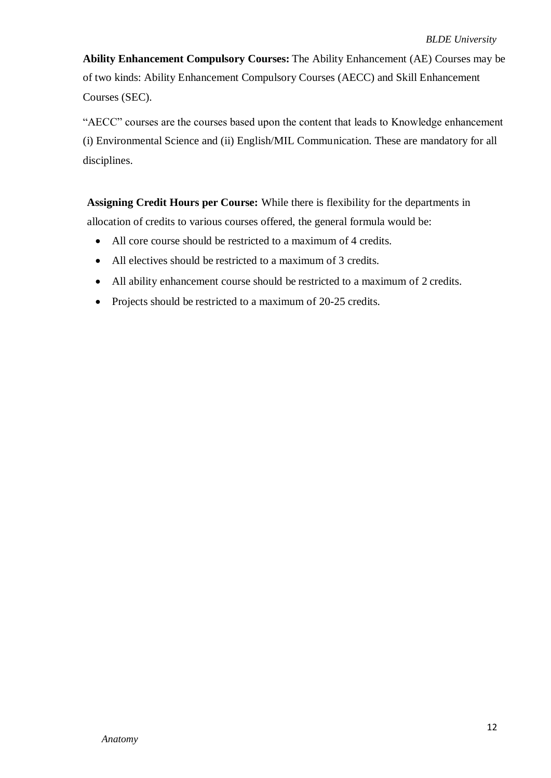**Ability Enhancement Compulsory Courses:** The Ability Enhancement (AE) Courses may be of two kinds: Ability Enhancement Compulsory Courses (AECC) and Skill Enhancement Courses (SEC).

"AECC" courses are the courses based upon the content that leads to Knowledge enhancement (i) Environmental Science and (ii) English/MIL Communication. These are mandatory for all disciplines.

**Assigning Credit Hours per Course:** While there is flexibility for the departments in allocation of credits to various courses offered, the general formula would be:

- All core course should be restricted to a maximum of 4 credits.
- All electives should be restricted to a maximum of 3 credits.
- All ability enhancement course should be restricted to a maximum of 2 credits.
- Projects should be restricted to a maximum of 20-25 credits.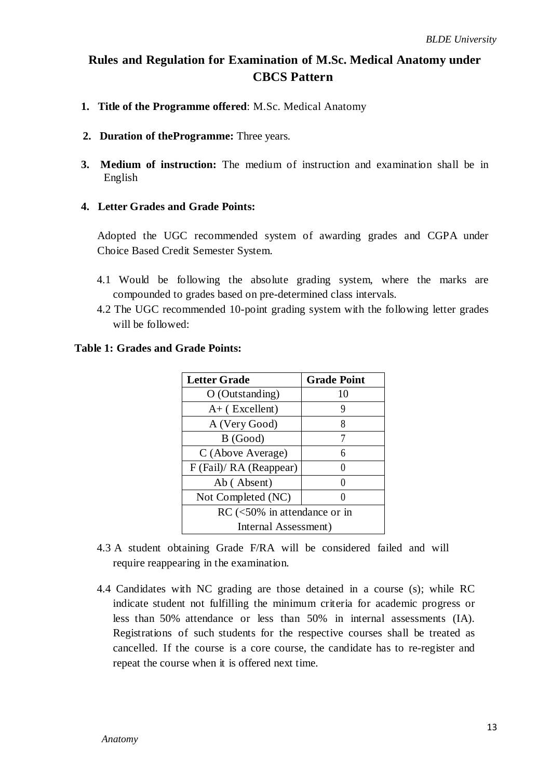## **Rules and Regulation for Examination of M.Sc. Medical Anatomy under CBCS Pattern**

- **1. Title of the Programme offered**: M.Sc. Medical Anatomy
- **2. Duration of theProgramme:** Three years.
- **3. Medium of instruction:** The medium of instruction and examination shall be in English

#### **4. Letter Grades and Grade Points:**

Adopted the UGC recommended system of awarding grades and CGPA under Choice Based Credit Semester System.

- 4.1 Would be following the absolute grading system, where the marks are compounded to grades based on pre-determined class intervals.
- 4.2 The UGC recommended 10-point grading system with the following letter grades will be followed:

| <b>Table 1: Grades and Grade Points:</b> |  |
|------------------------------------------|--|
|------------------------------------------|--|

| <b>Letter Grade</b>            | <b>Grade Point</b> |  |  |
|--------------------------------|--------------------|--|--|
| $O$ (Outstanding)              | 10                 |  |  |
| $A+$ (Excellent)               | 9                  |  |  |
| A (Very Good)                  | 8                  |  |  |
| B (Good)                       | 7                  |  |  |
| C (Above Average)              | 6                  |  |  |
| F (Fail)/ RA (Reappear)        |                    |  |  |
| Ab (Absent)                    |                    |  |  |
| Not Completed (NC)             |                    |  |  |
| $RC$ (<50% in attendance or in |                    |  |  |
| Internal Assessment)           |                    |  |  |

- 4.3 A student obtaining Grade F/RA will be considered failed and will require reappearing in the examination.
- 4.4 Candidates with NC grading are those detained in a course (s); while RC indicate student not fulfilling the minimum criteria for academic progress or less than 50% attendance or less than 50% in internal assessments (IA). Registrations of such students for the respective courses shall be treated as cancelled. If the course is a core course, the candidate has to re-register and repeat the course when it is offered next time.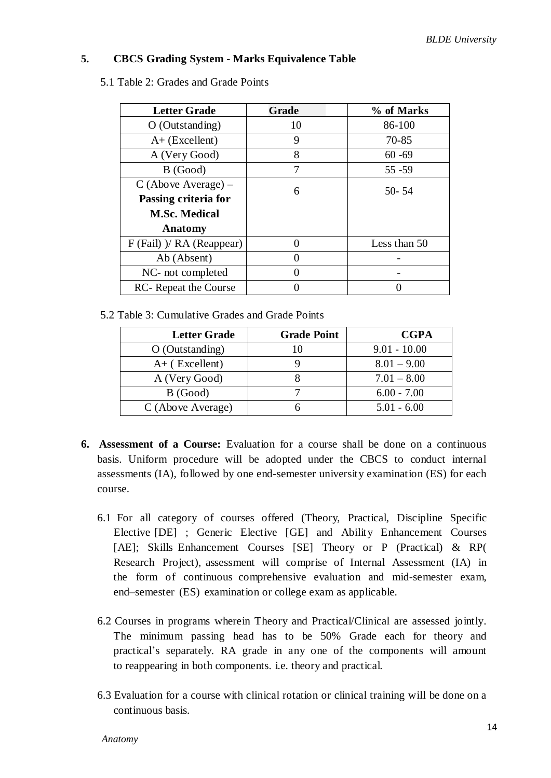#### **5. CBCS Grading System - Marks Equivalence Table**

5.1 Table 2: Grades and Grade Points

| <b>Letter Grade</b>           | Grade | % of Marks   |  |
|-------------------------------|-------|--------------|--|
| $O$ (Outstanding)             | 10    | 86-100       |  |
| $A+$ (Excellent)              | 9     | 70-85        |  |
| A (Very Good)                 | 8     | $60 - 69$    |  |
| B (Good)                      | 7     | $55 - 59$    |  |
| $C$ (Above Average) –         | 6     | $50 - 54$    |  |
| Passing criteria for          |       |              |  |
| <b>M.Sc. Medical</b>          |       |              |  |
| Anatomy                       |       |              |  |
| $F$ (Fail) $)/ RA$ (Reappear) |       | Less than 50 |  |
| Ab (Absent)                   |       |              |  |
| NC- not completed             |       |              |  |
| <b>RC</b> - Repeat the Course |       |              |  |

5.2 Table 3: Cumulative Grades and Grade Points

| <b>Letter Grade</b> | <b>Grade Point</b> | <b>CGPA</b>    |
|---------------------|--------------------|----------------|
| $O$ (Outstanding)   | 10                 | $9.01 - 10.00$ |
| $A+$ (Excellent)    |                    | $8.01 - 9.00$  |
| A (Very Good)       |                    | $7.01 - 8.00$  |
| B(Good)             |                    | $6.00 - 7.00$  |
| C (Above Average)   |                    | $5.01 - 6.00$  |

- **6. Assessment of a Course:** Evaluation for a course shall be done on a continuous basis. Uniform procedure will be adopted under the CBCS to conduct internal assessments (IA), followed by one end-semester university examination (ES) for each course.
	- 6.1 For all category of courses offered (Theory, Practical, Discipline Specific Elective [DE] ; Generic Elective [GE] and Ability Enhancement Courses [AE]; Skills Enhancement Courses [SE] Theory or P (Practical) & RP( Research Project), assessment will comprise of Internal Assessment (IA) in the form of continuous comprehensive evaluation and mid-semester exam, end–semester (ES) examination or college exam as applicable.
	- 6.2 Courses in programs wherein Theory and Practical/Clinical are assessed jointly. The minimum passing head has to be 50% Grade each for theory and practical's separately. RA grade in any one of the components will amount to reappearing in both components. i.e. theory and practical.
	- 6.3 Evaluation for a course with clinical rotation or clinical training will be done on a continuous basis.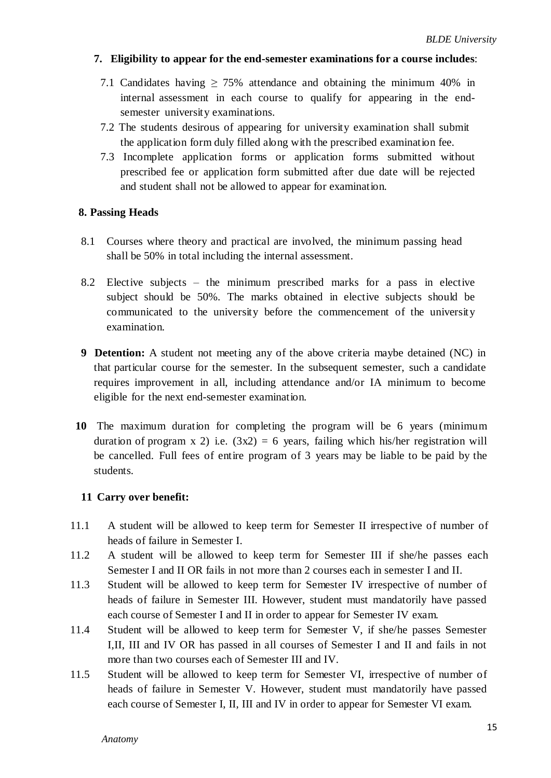#### **7. Eligibility to appear for the end-semester examinations for a course includes**:

- 7.1 Candidates having ≥ 75% attendance and obtaining the minimum 40% in internal assessment in each course to qualify for appearing in the endsemester university examinations.
- 7.2 The students desirous of appearing for university examination shall submit the application form duly filled along with the prescribed examination fee.
- 7.3 Incomplete application forms or application forms submitted without prescribed fee or application form submitted after due date will be rejected and student shall not be allowed to appear for examination.

#### **8. Passing Heads**

- 8.1 Courses where theory and practical are involved, the minimum passing head shall be 50% in total including the internal assessment.
- 8.2 Elective subjects the minimum prescribed marks for a pass in elective subject should be 50%. The marks obtained in elective subjects should be communicated to the university before the commencement of the university examination.
- **9 Detention:** A student not meeting any of the above criteria maybe detained (NC) in that particular course for the semester. In the subsequent semester, such a candidate requires improvement in all, including attendance and/or IA minimum to become eligible for the next end-semester examination.
- **10** The maximum duration for completing the program will be 6 years (minimum duration of program x 2) i.e.  $(3x2) = 6$  years, failing which his/her registration will be cancelled. Full fees of entire program of 3 years may be liable to be paid by the students.

#### **11 Carry over benefit:**

- 11.1 A student will be allowed to keep term for Semester II irrespective of number of heads of failure in Semester I.
- 11.2 A student will be allowed to keep term for Semester III if she/he passes each Semester I and II OR fails in not more than 2 courses each in semester I and II.
- 11.3 Student will be allowed to keep term for Semester IV irrespective of number of heads of failure in Semester III. However, student must mandatorily have passed each course of Semester I and II in order to appear for Semester IV exam.
- 11.4 Student will be allowed to keep term for Semester V, if she/he passes Semester I,II, III and IV OR has passed in all courses of Semester I and II and fails in not more than two courses each of Semester III and IV.
- 11.5 Student will be allowed to keep term for Semester VI, irrespective of number of heads of failure in Semester V. However, student must mandatorily have passed each course of Semester I, II, III and IV in order to appear for Semester VI exam.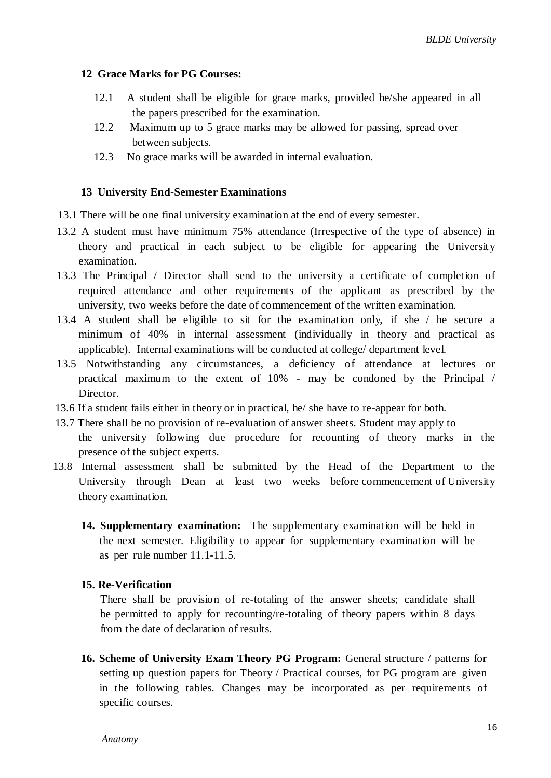#### **12 Grace Marks for PG Courses:**

- 12.1 A student shall be eligible for grace marks, provided he/she appeared in all the papers prescribed for the examination.
- 12.2 Maximum up to 5 grace marks may be allowed for passing, spread over between subjects.
- 12.3 No grace marks will be awarded in internal evaluation.

#### **13 University End-Semester Examinations**

- 13.1 There will be one final university examination at the end of every semester.
- 13.2 A student must have minimum 75% attendance (Irrespective of the type of absence) in theory and practical in each subject to be eligible for appearing the University examination.
- 13.3 The Principal / Director shall send to the university a certificate of completion of required attendance and other requirements of the applicant as prescribed by the university, two weeks before the date of commencement of the written examination.
- 13.4 A student shall be eligible to sit for the examination only, if she / he secure a minimum of 40% in internal assessment (individually in theory and practical as applicable). Internal examinations will be conducted at college/ department level.
- 13.5 Notwithstanding any circumstances, a deficiency of attendance at lectures or practical maximum to the extent of 10% - may be condoned by the Principal / Director.
- 13.6 If a student fails either in theory or in practical, he/ she have to re-appear for both.
- 13.7 There shall be no provision of re-evaluation of answer sheets. Student may apply to the university following due procedure for recounting of theory marks in the presence of the subject experts.
- 13.8 Internal assessment shall be submitted by the Head of the Department to the University through Dean at least two weeks before commencement of University theory examination.
	- **14. Supplementary examination:** The supplementary examination will be held in the next semester. Eligibility to appear for supplementary examination will be as per rule number 11.1-11.5.

#### **15. Re-Verification**

There shall be provision of re-totaling of the answer sheets; candidate shall be permitted to apply for recounting/re-totaling of theory papers within 8 days from the date of declaration of results.

**16. Scheme of University Exam Theory PG Program:** General structure / patterns for setting up question papers for Theory / Practical courses, for PG program are given in the following tables. Changes may be incorporated as per requirements of specific courses.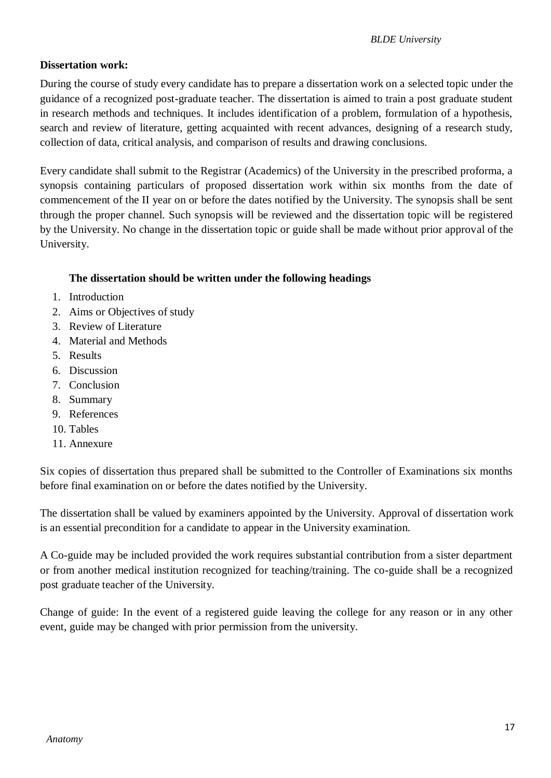## **Dissertation work:**

During the course of study every candidate has to prepare a dissertation work on a selected topic under the guidance of a recognized post-graduate teacher. The dissertation is aimed to train a post graduate student in research methods and techniques. It includes identification of a problem, formulation of a hypothesis, search and review of literature, getting acquainted with recent advances, designing of a research study, collection of data, critical analysis, and comparison of results and drawing conclusions.

Every candidate shall submit to the Registrar (Academics) of the University in the prescribed proforma, a synopsis containing particulars of proposed dissertation work within six months from the date of commencement of the II year on or before the dates notified by the University. The synopsis shall be sent through the proper channel. Such synopsis will be reviewed and the dissertation topic will be registered by the University. No change in the dissertation topic or guide shall be made without prior approval of the University.

## **The dissertation should be written under the following headings**

- 1. Introduction
- 2. Aims or Objectives of study
- 3. Review of Literature
- 4. Material and Methods
- 5. Results
- 6. Discussion
- 7. Conclusion
- 8. Summary
- 9. References
- 10. Tables
- 11. Annexure

Six copies of dissertation thus prepared shall be submitted to the Controller of Examinations six months before final examination on or before the dates notified by the University.

The dissertation shall be valued by examiners appointed by the University. Approval of dissertation work is an essential precondition for a candidate to appear in the University examination.

A Co-guide may be included provided the work requires substantial contribution from a sister department or from another medical institution recognized for teaching/training. The co-guide shall be a recognized post graduate teacher of the University.

Change of guide: In the event of a registered guide leaving the college for any reason or in any other event, guide may be changed with prior permission from the university.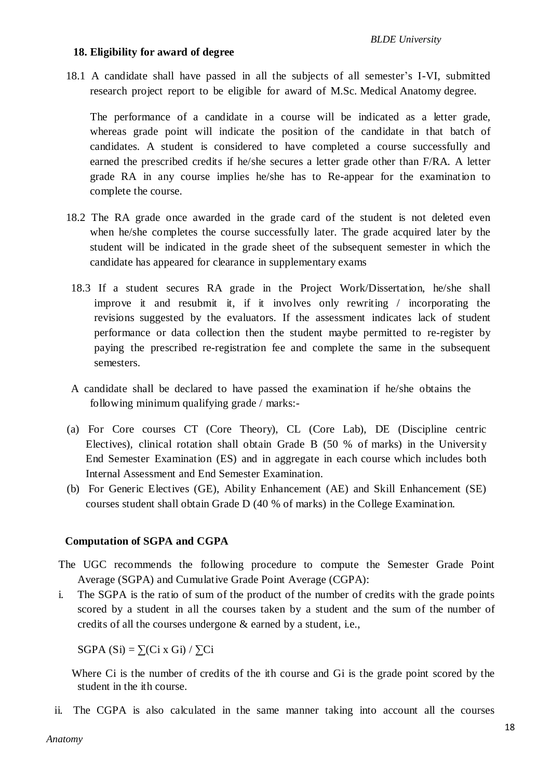#### **18. Eligibility for award of degree**

18.1 A candidate shall have passed in all the subjects of all semester's I-VI, submitted research project report to be eligible for award of M.Sc. Medical Anatomy degree.

The performance of a candidate in a course will be indicated as a letter grade, whereas grade point will indicate the position of the candidate in that batch of candidates. A student is considered to have completed a course successfully and earned the prescribed credits if he/she secures a letter grade other than F/RA. A letter grade RA in any course implies he/she has to Re-appear for the examination to complete the course.

- 18.2 The RA grade once awarded in the grade card of the student is not deleted even when he/she completes the course successfully later. The grade acquired later by the student will be indicated in the grade sheet of the subsequent semester in which the candidate has appeared for clearance in supplementary exams
- 18.3 If a student secures RA grade in the Project Work/Dissertation, he/she shall improve it and resubmit it, if it involves only rewriting / incorporating the revisions suggested by the evaluators. If the assessment indicates lack of student performance or data collection then the student maybe permitted to re-register by paying the prescribed re-registration fee and complete the same in the subsequent semesters.
- A candidate shall be declared to have passed the examination if he/she obtains the following minimum qualifying grade / marks:-
- (a) For Core courses CT (Core Theory), CL (Core Lab), DE (Discipline centric Electives), clinical rotation shall obtain Grade B (50 % of marks) in the University End Semester Examination (ES) and in aggregate in each course which includes both Internal Assessment and End Semester Examination.
- (b) For Generic Electives (GE), Ability Enhancement (AE) and Skill Enhancement (SE) courses student shall obtain Grade D (40 % of marks) in the College Examination.

#### **Computation of SGPA and CGPA**

- The UGC recommends the following procedure to compute the Semester Grade Point Average (SGPA) and Cumulative Grade Point Average (CGPA):
- i. The SGPA is the ratio of sum of the product of the number of credits with the grade points scored by a student in all the courses taken by a student and the sum of the number of credits of all the courses undergone & earned by a student, i.e.,

SGPA  $(Si) = \sum (Ci \times Gi) / \sum Ci$ 

Where Ci is the number of credits of the ith course and Gi is the grade point scored by the student in the ith course.

ii. The CGPA is also calculated in the same manner taking into account all the courses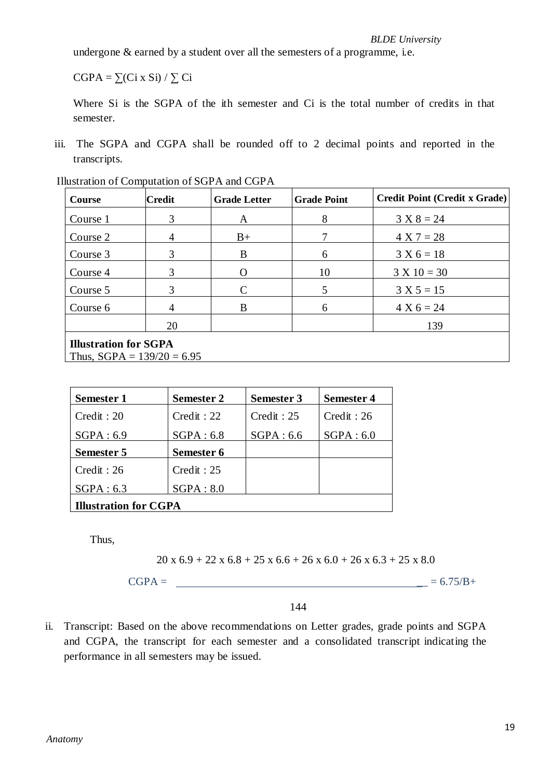undergone & earned by a student over all the semesters of a programme, i.e.

 $CGPA = \sum (Ci \times Si) / \sum Ci$ 

Where Si is the SGPA of the ith semester and Ci is the total number of credits in that semester.

iii. The SGPA and CGPA shall be rounded off to 2 decimal points and reported in the transcripts.

| Course                                                       | <b>Credit</b> | <b>Grade Letter</b> | <b>Grade Point</b> | <b>Credit Point (Credit x Grade)</b> |
|--------------------------------------------------------------|---------------|---------------------|--------------------|--------------------------------------|
| Course 1                                                     | 3             | A                   | 8                  | $3 X 8 = 24$                         |
| Course 2                                                     | 4             | $B+$                |                    | $4 X 7 = 28$                         |
| Course 3                                                     | 3             | B                   | 6                  | $3 X 6 = 18$                         |
| Course 4                                                     | 3             |                     | 10                 | $3 X 10 = 30$                        |
| Course 5                                                     | 3             | C                   | 5                  | $3 X 5 = 15$                         |
| Course 6                                                     | 4             | B                   | 6                  | $4 X 6 = 24$                         |
|                                                              | 20            |                     |                    | 139                                  |
| <b>Illustration for SGPA</b><br>Thus, $SGPA = 139/20 = 6.95$ |               |                     |                    |                                      |

Illustration of Computation of SGPA and CGPA

| <b>Semester 1</b>            | <b>Semester 2</b> | <b>Semester 3</b> | <b>Semester 4</b> |  |
|------------------------------|-------------------|-------------------|-------------------|--|
| Credit : 20                  | Credit : 22       | Credit : 25       | Credit : 26       |  |
| SGPA: 6.9                    | SGPA: 6.8         | SGPA: 6.6         | SGPA: 6.0         |  |
| Semester 5                   | Semester 6        |                   |                   |  |
| Credit : 26                  | Credit : 25       |                   |                   |  |
| SGPA: 6.3                    | SGPA: 8.0         |                   |                   |  |
| <b>Illustration for CGPA</b> |                   |                   |                   |  |

Thus,

 $20 \times 6.9 + 22 \times 6.8 + 25 \times 6.6 + 26 \times 6.0 + 26 \times 6.3 + 25 \times 8.0$ 

 $CGPA =$   $= 6.75/B +$ 

144

ii. Transcript: Based on the above recommendations on Letter grades, grade points and SGPA and CGPA, the transcript for each semester and a consolidated transcript indicating the performance in all semesters may be issued.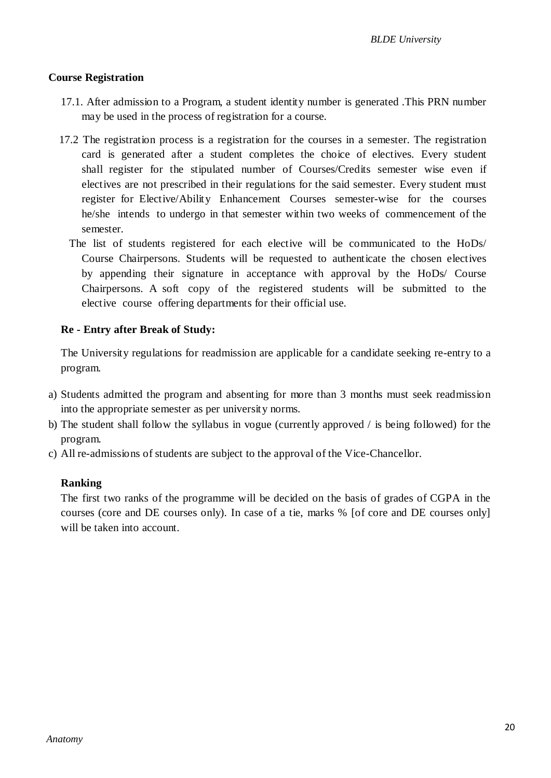#### **Course Registration**

- 17.1. After admission to a Program, a student identity number is generated .This PRN number may be used in the process of registration for a course.
- 17.2 The registration process is a registration for the courses in a semester. The registration card is generated after a student completes the choice of electives. Every student shall register for the stipulated number of Courses/Credits semester wise even if electives are not prescribed in their regulations for the said semester. Every student must register for Elective/Ability Enhancement Courses semester-wise for the courses he/she intends to undergo in that semester within two weeks of commencement of the semester.
	- The list of students registered for each elective will be communicated to the HoDs/ Course Chairpersons. Students will be requested to authenticate the chosen electives by appending their signature in acceptance with approval by the HoDs/ Course Chairpersons. A soft copy of the registered students will be submitted to the elective course offering departments for their official use.

#### **Re - Entry after Break of Study:**

The University regulations for readmission are applicable for a candidate seeking re-entry to a program.

- a) Students admitted the program and absenting for more than 3 months must seek readmission into the appropriate semester as per university norms.
- b) The student shall follow the syllabus in vogue (currently approved / is being followed) for the program.
- c) All re-admissions of students are subject to the approval of the Vice-Chancellor.

#### **Ranking**

The first two ranks of the programme will be decided on the basis of grades of CGPA in the courses (core and DE courses only). In case of a tie, marks % [of core and DE courses only] will be taken into account.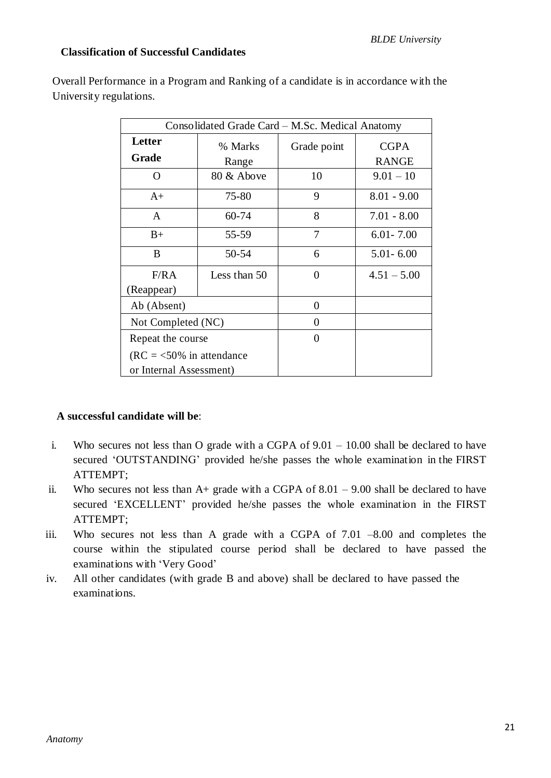## **Classification of Successful Candidates**

Overall Performance in a Program and Ranking of a candidate is in accordance with the University regulations.

| Consolidated Grade Card – M.Sc. Medical Anatomy |                  |             |                             |  |  |
|-------------------------------------------------|------------------|-------------|-----------------------------|--|--|
| Letter<br>Grade                                 | % Marks<br>Range | Grade point | <b>CGPA</b><br><b>RANGE</b> |  |  |
| O                                               | 80 & Above       | 10          | $9.01 - 10$                 |  |  |
| $A+$                                            | 75-80            | 9           | $8.01 - 9.00$               |  |  |
| A                                               | 60-74            | 8           | $7.01 - 8.00$               |  |  |
| $B+$                                            | 55-59            | 7           | $6.01 - 7.00$               |  |  |
| B                                               | 50-54            | 6           | $5.01 - 6.00$               |  |  |
| F/RA                                            | Less than 50     | 0           | $4.51 - 5.00$               |  |  |
| (Reappear)                                      |                  |             |                             |  |  |
| Ab (Absent)                                     |                  | 0           |                             |  |  |
| Not Completed (NC)                              |                  | 0           |                             |  |  |
| Repeat the course                               |                  | 0           |                             |  |  |
| $(RC = 50\%$ in attendance                      |                  |             |                             |  |  |
| or Internal Assessment)                         |                  |             |                             |  |  |

## **A successful candidate will be**:

- i. Who secures not less than O grade with a CGPA of 9.01 10.00 shall be declared to have secured 'OUTSTANDING' provided he/she passes the whole examination in the FIRST ATTEMPT;
- ii. Who secures not less than  $A+$  grade with a CGPA of 8.01 9.00 shall be declared to have secured 'EXCELLENT' provided he/she passes the whole examination in the FIRST ATTEMPT;
- iii. Who secures not less than A grade with a CGPA of 7.01 –8.00 and completes the course within the stipulated course period shall be declared to have passed the examinations with 'Very Good'
- iv. All other candidates (with grade B and above) shall be declared to have passed the examinations.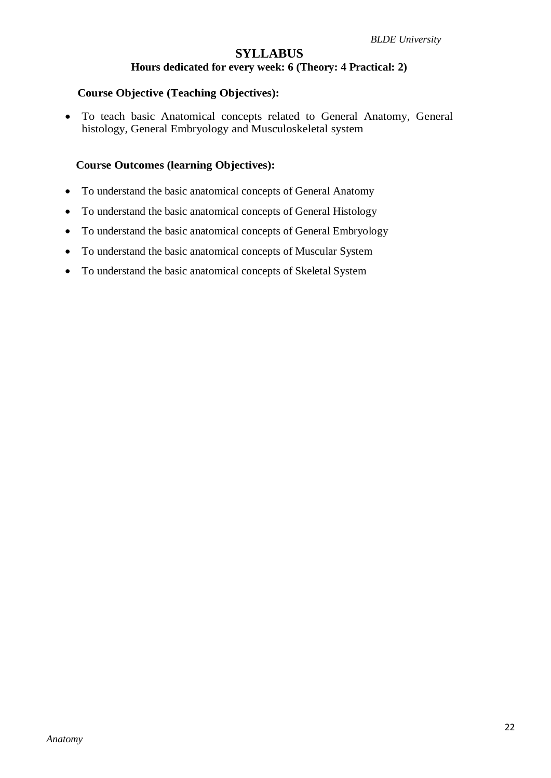## **SYLLABUS Hours dedicated for every week: 6 (Theory: 4 Practical: 2)**

#### **Course Objective (Teaching Objectives):**

 To teach basic Anatomical concepts related to General Anatomy, General histology, General Embryology and Musculoskeletal system

#### **Course Outcomes (learning Objectives):**

- To understand the basic anatomical concepts of General Anatomy
- To understand the basic anatomical concepts of General Histology
- To understand the basic anatomical concepts of General Embryology
- To understand the basic anatomical concepts of Muscular System
- To understand the basic anatomical concepts of Skeletal System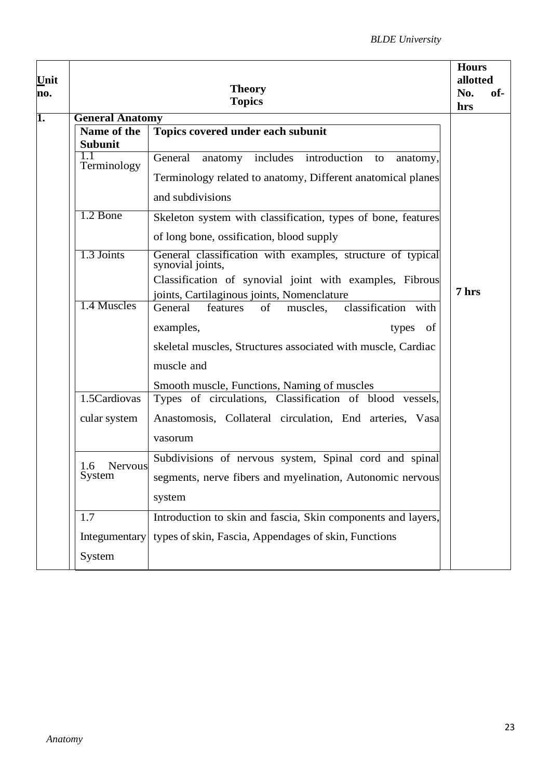|                        | <b>Theory</b><br><b>Topics</b>                                                 | <b>Hours</b><br>allotted<br>No.<br>of-<br>hrs |
|------------------------|--------------------------------------------------------------------------------|-----------------------------------------------|
| <b>General Anatomy</b> |                                                                                |                                               |
| Name of the            | Topics covered under each subunit                                              |                                               |
| <b>Subunit</b>         |                                                                                |                                               |
| 1.1<br>Terminology     | General<br>includes introduction<br>anatomy<br>to<br>anatomy,                  |                                               |
|                        | Terminology related to anatomy, Different anatomical planes                    |                                               |
|                        | and subdivisions                                                               |                                               |
| 1.2 Bone               | Skeleton system with classification, types of bone, features                   |                                               |
|                        | of long bone, ossification, blood supply                                       |                                               |
| 1.3 Joints             | General classification with examples, structure of typical<br>synovial joints, |                                               |
|                        | Classification of synovial joint with examples, Fibrous                        |                                               |
|                        | joints, Cartilaginous joints, Nomenclature                                     | 7 hrs                                         |
| 1.4 Muscles            | classification with<br>General<br>of<br>features<br>muscles.                   |                                               |
|                        | examples,<br>of<br>types                                                       |                                               |
|                        | skeletal muscles, Structures associated with muscle, Cardiac                   |                                               |
|                        | muscle and                                                                     |                                               |
|                        | Smooth muscle, Functions, Naming of muscles                                    |                                               |
| 1.5Cardiovas           | Types of circulations, Classification of blood vessels,                        |                                               |
| cular system           | Anastomosis, Collateral circulation, End arteries, Vasa                        |                                               |
|                        |                                                                                |                                               |
|                        | vasorum                                                                        |                                               |
| 1.6<br>Nervous         | Subdivisions of nervous system, Spinal cord and spinal                         |                                               |
| System                 | segments, nerve fibers and myelination, Autonomic nervous                      |                                               |
|                        |                                                                                |                                               |
|                        | system                                                                         |                                               |
| 1.7                    | Introduction to skin and fascia, Skin components and layers,                   |                                               |
| Integumentary          | types of skin, Fascia, Appendages of skin, Functions                           |                                               |
| System                 |                                                                                |                                               |
|                        |                                                                                |                                               |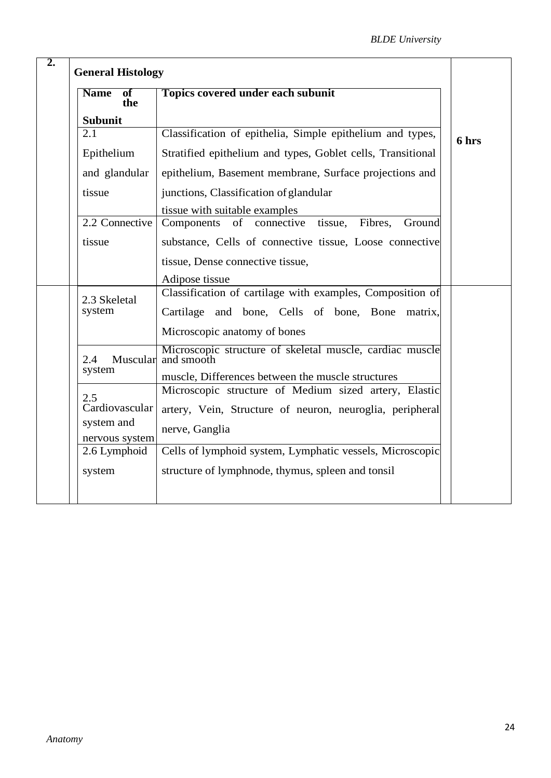| <b>Name</b><br>of<br>the     | <b>Topics covered under each subunit</b>                               |       |
|------------------------------|------------------------------------------------------------------------|-------|
| <b>Subunit</b>               |                                                                        |       |
| 2.1                          | Classification of epithelia, Simple epithelium and types,              | 6 hrs |
| Epithelium                   | Stratified epithelium and types, Goblet cells, Transitional            |       |
| and glandular                | epithelium, Basement membrane, Surface projections and                 |       |
| tissue                       | junctions, Classification of glandular                                 |       |
|                              | tissue with suitable examples                                          |       |
| 2.2 Connective               | of connective tissue,<br>Fibres,<br>Ground<br>Components               |       |
| tissue                       | substance, Cells of connective tissue, Loose connective                |       |
|                              | tissue, Dense connective tissue,                                       |       |
|                              | Adipose tissue                                                         |       |
| 2.3 Skeletal                 | Classification of cartilage with examples, Composition of              |       |
| system                       | Cartilage and bone, Cells of bone, Bone<br>matrix,                     |       |
|                              | Microscopic anatomy of bones                                           |       |
| Muscular<br>2.4              | Microscopic structure of skeletal muscle, cardiac muscle<br>and smooth |       |
| system                       | muscle, Differences between the muscle structures                      |       |
| 2.5                          | Microscopic structure of Medium sized artery, Elastic                  |       |
| Cardiovascular               | artery, Vein, Structure of neuron, neuroglia, peripheral               |       |
| system and<br>nervous system | nerve, Ganglia                                                         |       |
| 2.6 Lymphoid                 | Cells of lymphoid system, Lymphatic vessels, Microscopic               |       |
| system                       | structure of lymphnode, thymus, spleen and tonsil                      |       |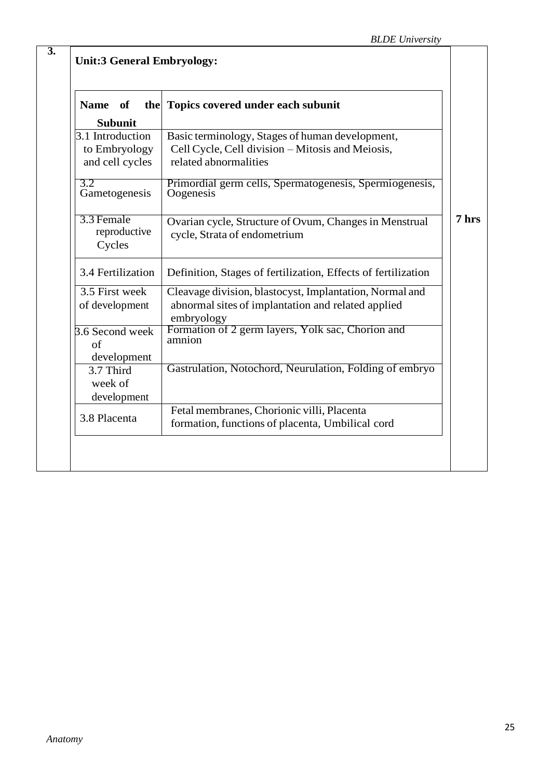| of<br><b>Name</b><br>the                             | Topics covered under each subunit                                                                                            |
|------------------------------------------------------|------------------------------------------------------------------------------------------------------------------------------|
| <b>Subunit</b>                                       |                                                                                                                              |
| 3.1 Introduction<br>to Embryology<br>and cell cycles | Basic terminology, Stages of human development,<br>Cell Cycle, Cell division - Mitosis and Meiosis,<br>related abnormalities |
| 3.2<br>Gametogenesis                                 | Primordial germ cells, Spermatogenesis, Spermiogenesis,<br>Oogenesis                                                         |
| 3.3 Female<br>reproductive<br>Cycles                 | Ovarian cycle, Structure of Ovum, Changes in Menstrual<br>cycle, Strata of endometrium                                       |
| 3.4 Fertilization                                    | Definition, Stages of fertilization, Effects of fertilization                                                                |
| 3.5 First week<br>of development                     | Cleavage division, blastocyst, Implantation, Normal and<br>abnormal sites of implantation and related applied<br>embryology  |
| 3.6 Second week<br>of<br>development                 | Formation of 2 germ layers, Yolk sac, Chorion and<br>amnion                                                                  |
| 3.7 Third<br>week of<br>development                  | Gastrulation, Notochord, Neurulation, Folding of embryo                                                                      |
| 3.8 Placenta                                         | Fetal membranes, Chorionic villi, Placenta<br>formation, functions of placenta, Umbilical cord                               |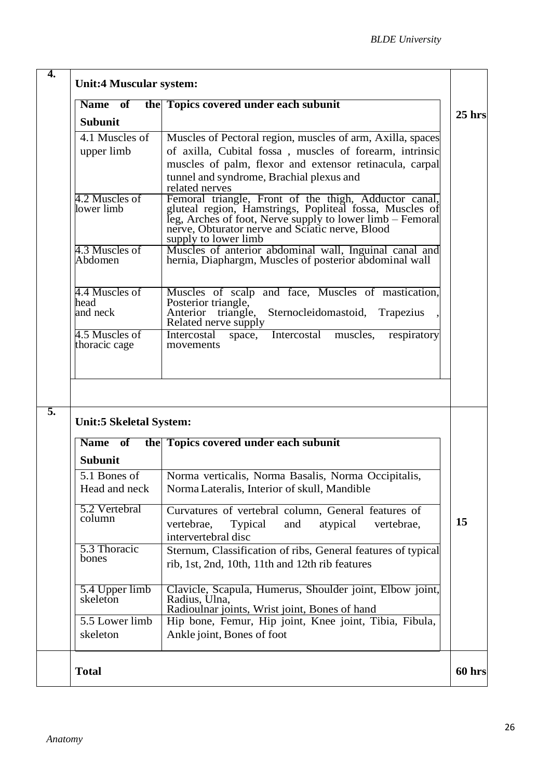| <b>Name</b><br>of                                                                                        | the Topics covered under each subunit                                                                                                                                                                                                                    |
|----------------------------------------------------------------------------------------------------------|----------------------------------------------------------------------------------------------------------------------------------------------------------------------------------------------------------------------------------------------------------|
| <b>Subunit</b>                                                                                           |                                                                                                                                                                                                                                                          |
| 4.1 Muscles of                                                                                           | Muscles of Pectoral region, muscles of arm, Axilla, spaces                                                                                                                                                                                               |
| upper limb                                                                                               | of axilla, Cubital fossa, muscles of forearm, intrinsic                                                                                                                                                                                                  |
|                                                                                                          | muscles of palm, flexor and extensor retinacula, carpal                                                                                                                                                                                                  |
|                                                                                                          | tunnel and syndrome, Brachial plexus and<br>related nerves                                                                                                                                                                                               |
| 4.2 Muscles of<br>lower limb                                                                             | Femoral triangle, Front of the thigh, Adductor canal,<br>gluteal region, Hamstrings, Popliteal fossa, Muscles of<br>leg, Arches of foot, Nerve supply to lower limb – Femoral<br>nerve, Obturator nerve and Sciatic nerve, Blood<br>supply to lower limb |
| 4.3 Muscles of<br>Abdomen                                                                                | Muscles of anterior abdominal wall, Inguinal canal and<br>hernia, Diaphargm, Muscles of posterior abdominal wall                                                                                                                                         |
| 4.4 Muscles of<br>head<br>and neck                                                                       | Muscles of scalp and face, Muscles of mastication,<br>Posterior triangle,<br>Anterior triangle,<br>Sternocleidomastoid,<br>Trapezius<br>Related nerve supply                                                                                             |
|                                                                                                          |                                                                                                                                                                                                                                                          |
|                                                                                                          | Intercostal<br>Intercostal<br>space,<br>muscles,<br>respiratory<br>movements                                                                                                                                                                             |
|                                                                                                          |                                                                                                                                                                                                                                                          |
| 4.5 Muscles of<br>thoracic cage<br><b>Unit:5 Skeletal System:</b><br>of<br><b>Name</b><br><b>Subunit</b> | the Topics covered under each subunit                                                                                                                                                                                                                    |
| 5.1 Bones of<br>Head and neck                                                                            | Norma verticalis, Norma Basalis, Norma Occipitalis,<br>Norma Lateralis, Interior of skull, Mandible                                                                                                                                                      |
| 5.2 Vertebral<br>column                                                                                  | Curvatures of vertebral column, General features of<br>Typical<br>atypical<br>vertebrae,<br>vertebrae,<br>and<br>intervertebral disc                                                                                                                     |
| 5.3 Thoracic<br>bones                                                                                    | Sternum, Classification of ribs, General features of typical<br>rib, 1st, 2nd, 10th, 11th and 12th rib features                                                                                                                                          |
| 5.4 Upper limb<br>skeleton<br>5.5 Lower limb                                                             | Clavicle, Scapula, Humerus, Shoulder joint, Elbow joint,<br>Radius, Ulna,<br>Radioulnar joints, Wrist joint, Bones of hand                                                                                                                               |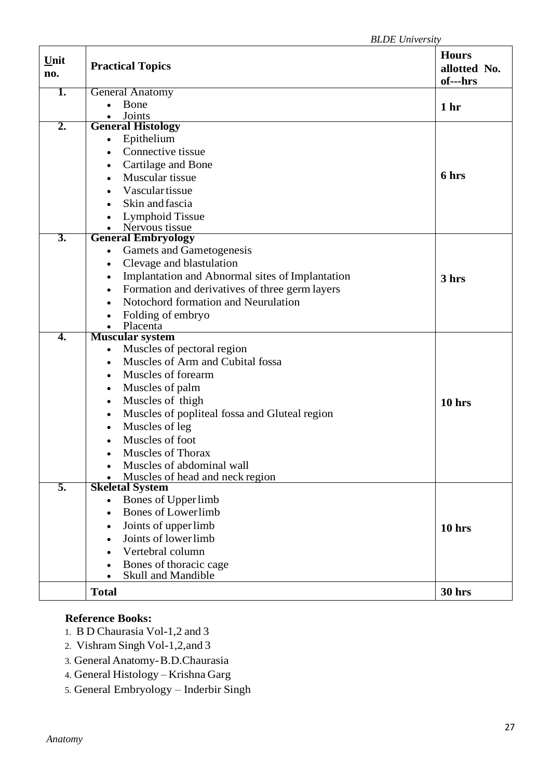| Unit<br>no. | <b>Practical Topics</b>                                      |                 |
|-------------|--------------------------------------------------------------|-----------------|
| 1.          | <b>General Anatomy</b>                                       |                 |
|             | Bone                                                         | 1 <sub>hr</sub> |
| 2.          | Joints<br><b>General Histology</b>                           |                 |
|             | Epithelium                                                   |                 |
|             | Connective tissue                                            |                 |
|             | Cartilage and Bone<br>٠                                      |                 |
|             | Muscular tissue<br>$\bullet$                                 | 6 hrs           |
|             | Vascular tissue<br>$\bullet$                                 |                 |
|             | Skin and fascia                                              |                 |
|             | Lymphoid Tissue                                              |                 |
|             | Nervous tissue                                               |                 |
| 3.          | <b>General Embryology</b>                                    |                 |
|             | Gamets and Gametogenesis                                     |                 |
|             | Clevage and blastulation<br>٠                                |                 |
|             | Implantation and Abnormal sites of Implantation<br>$\bullet$ | 3 hrs           |
|             | Formation and derivatives of three germ layers<br>٠          |                 |
|             | Notochord formation and Neurulation<br>$\bullet$             |                 |
|             | Folding of embryo                                            |                 |
|             | Placenta                                                     |                 |
| 4.          | <b>Muscular system</b>                                       |                 |
|             | Muscles of pectoral region                                   |                 |
|             | Muscles of Arm and Cubital fossa<br>$\bullet$                |                 |
|             | Muscles of forearm<br>$\bullet$                              |                 |
|             | Muscles of palm<br>٠                                         |                 |
|             | Muscles of thigh<br>٠                                        | 10 hrs          |
|             | Muscles of popliteal fossa and Gluteal region<br>٠           |                 |
|             | Muscles of leg<br>٠                                          |                 |
|             | Muscles of foot                                              |                 |
|             | <b>Muscles of Thorax</b>                                     |                 |
|             | Muscles of abdominal wall                                    |                 |
|             | Muscles of head and neck region                              |                 |
| 5.          | <b>Skeletal System</b>                                       |                 |
|             | Bones of Upper limb                                          |                 |
|             | <b>Bones of Lowerlimb</b><br>$\bullet$                       |                 |
|             | Joints of upper limb<br>$\bullet$                            | 10 hrs          |
|             | Joints of lower limb<br>$\bullet$                            |                 |
|             | Vertebral column<br>$\bullet$                                |                 |
|             | Bones of thoracic cage                                       |                 |
|             | <b>Skull and Mandible</b>                                    |                 |
|             | <b>Total</b>                                                 | <b>30 hrs</b>   |

## **Reference Books:**

- 1. B D Chaurasia Vol-1,2 and 3
- 2. Vishram Singh Vol-1,2,and 3
- 3. GeneralAnatomy-B.D.Chaurasia
- 4. General Histology Krishna Garg
- 5. General Embryology Inderbir Singh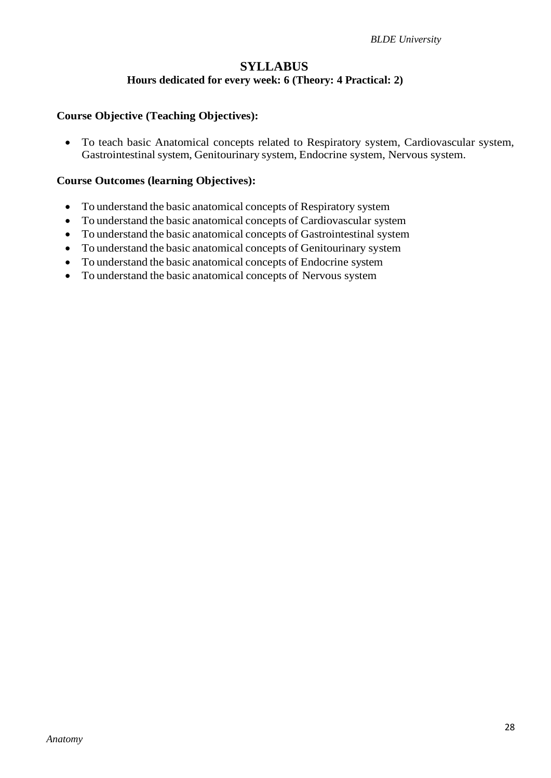## **SYLLABUS Hours dedicated for every week: 6 (Theory: 4 Practical: 2)**

#### **Course Objective (Teaching Objectives):**

 To teach basic Anatomical concepts related to Respiratory system, Cardiovascular system, Gastrointestinal system, Genitourinary system, Endocrine system, Nervous system.

#### **Course Outcomes (learning Objectives):**

- To understand the basic anatomical concepts of Respiratory system
- To understand the basic anatomical concepts of Cardiovascular system
- To understand the basic anatomical concepts of Gastrointestinal system
- To understand the basic anatomical concepts of Genitourinary system
- To understand the basic anatomical concepts of Endocrine system
- To understand the basic anatomical concepts of Nervous system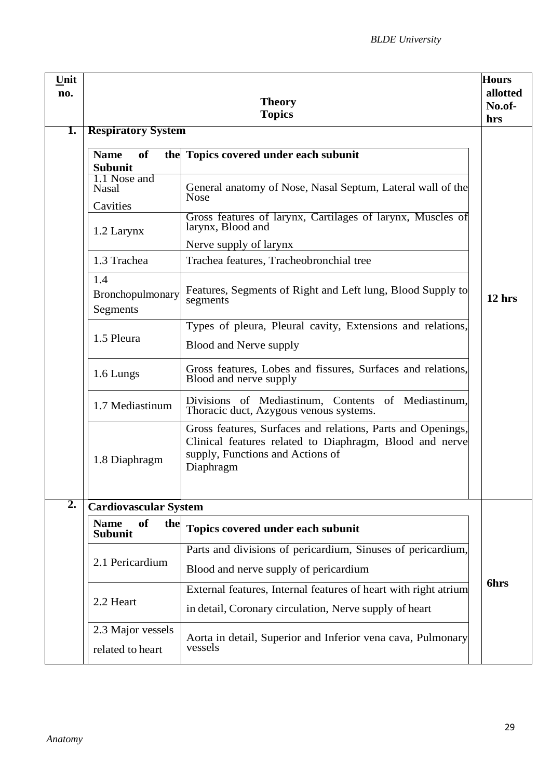| Unit<br>no.      | <b>Theory</b><br><b>Topics</b>                                                                                                                                                                                                                  |                                                                                                                                                                                                                                                                                                                                                                                                                                                                                                                                                                                                                                                                                                                                                                                                                  |                          |
|------------------|-------------------------------------------------------------------------------------------------------------------------------------------------------------------------------------------------------------------------------------------------|------------------------------------------------------------------------------------------------------------------------------------------------------------------------------------------------------------------------------------------------------------------------------------------------------------------------------------------------------------------------------------------------------------------------------------------------------------------------------------------------------------------------------------------------------------------------------------------------------------------------------------------------------------------------------------------------------------------------------------------------------------------------------------------------------------------|--------------------------|
| 1.               | <b>Respiratory System</b><br>of<br><b>Name</b><br><b>Subunit</b><br>1.1 Nose and<br><b>Nasal</b><br>Cavities<br>1.2 Larynx<br>1.3 Trachea<br>1.4<br>Bronchopulmonary<br>Segments<br>1.5 Pleura<br>1.6 Lungs<br>1.7 Mediastinum<br>1.8 Diaphragm | the Topics covered under each subunit<br>General anatomy of Nose, Nasal Septum, Lateral wall of the<br><b>Nose</b><br>Gross features of larynx, Cartilages of larynx, Muscles of<br>larynx, Blood and<br>Nerve supply of larynx<br>Trachea features, Tracheobronchial tree<br>Features, Segments of Right and Left lung, Blood Supply to<br>segments<br>Types of pleura, Pleural cavity, Extensions and relations,<br>Blood and Nerve supply<br>Gross features, Lobes and fissures, Surfaces and relations,<br>Blood and nerve supply<br>Divisions of Mediastinum, Contents of Mediastinum,<br>Thoracic duct, Azygous venous systems.<br>Gross features, Surfaces and relations, Parts and Openings,<br>Clinical features related to Diaphragm, Blood and nerve<br>supply, Functions and Actions of<br>Diaphragm | hrs<br>12 <sub>hrs</sub> |
| $\overline{2}$ . | <b>Cardiovascular System</b><br>of<br><b>Name</b><br>the<br>Subunit<br>2.1 Pericardium<br>2.2 Heart                                                                                                                                             | Topics covered under each subunit<br>Parts and divisions of pericardium, Sinuses of pericardium,<br>Blood and nerve supply of pericardium<br>External features, Internal features of heart with right atrium                                                                                                                                                                                                                                                                                                                                                                                                                                                                                                                                                                                                     | <b>6hrs</b>              |
|                  | 2.3 Major vessels<br>related to heart                                                                                                                                                                                                           | in detail, Coronary circulation, Nerve supply of heart<br>Aorta in detail, Superior and Inferior vena cava, Pulmonary<br>vessels                                                                                                                                                                                                                                                                                                                                                                                                                                                                                                                                                                                                                                                                                 |                          |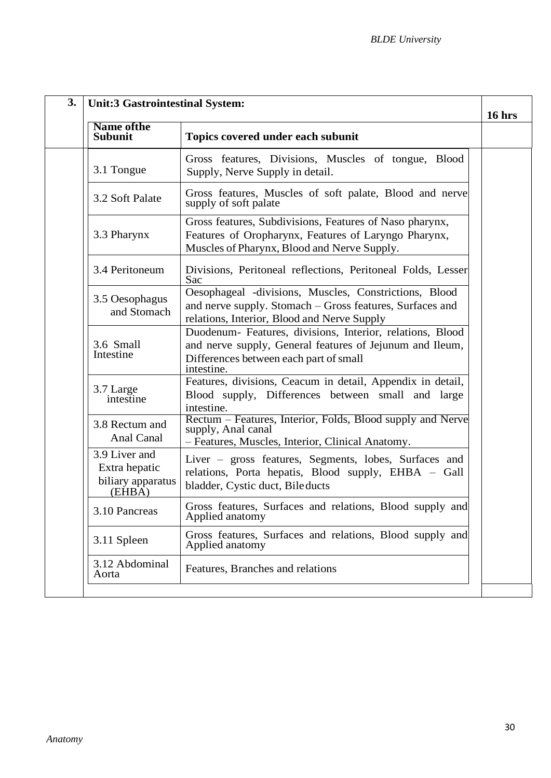| 3.                           | <b>Unit:3 Gastrointestinal System:</b>                        |                                                                                                                                                                               | $16$ hrs |
|------------------------------|---------------------------------------------------------------|-------------------------------------------------------------------------------------------------------------------------------------------------------------------------------|----------|
|                              | <b>Name of the</b><br><b>Subunit</b>                          | Topics covered under each subunit                                                                                                                                             |          |
|                              | 3.1 Tongue                                                    | Gross features, Divisions, Muscles of tongue,<br>Blood<br>Supply, Nerve Supply in detail.                                                                                     |          |
|                              | 3.2 Soft Palate                                               | Gross features, Muscles of soft palate, Blood and nerve<br>supply of soft palate                                                                                              |          |
|                              | 3.3 Pharynx                                                   | Gross features, Subdivisions, Features of Naso pharynx,<br>Features of Oropharynx, Features of Laryngo Pharynx,<br>Muscles of Pharynx, Blood and Nerve Supply.                |          |
|                              | 3.4 Peritoneum                                                | Divisions, Peritoneal reflections, Peritoneal Folds, Lesser<br>Sac                                                                                                            |          |
|                              | 3.5 Oesophagus<br>and Stomach                                 | Oesophageal -divisions, Muscles, Constrictions, Blood<br>and nerve supply. Stomach – Gross features, Surfaces and<br>relations, Interior, Blood and Nerve Supply              |          |
|                              | 3.6 Small<br>Intestine                                        | Duodenum- Features, divisions, Interior, relations, Blood<br>and nerve supply, General features of Jejunum and Ileum,<br>Differences between each part of small<br>intestine. |          |
|                              | 3.7 Large<br>intestine                                        | Features, divisions, Ceacum in detail, Appendix in detail,<br>Blood supply, Differences between small and large<br>intestine.                                                 |          |
| 3.8 Rectum and<br>Anal Canal |                                                               | Rectum – Features, Interior, Folds, Blood supply and Nerve<br>supply, Anal canal<br>- Features, Muscles, Interior, Clinical Anatomy.                                          |          |
|                              | 3.9 Liver and<br>Extra hepatic<br>biliary apparatus<br>(EHBA) | Liver – gross features, Segments, lobes, Surfaces and<br>relations, Porta hepatis, Blood supply, EHBA - Gall<br>bladder, Cystic duct, Bileducts                               |          |
|                              | 3.10 Pancreas                                                 | Gross features, Surfaces and relations, Blood supply and<br>Applied anatomy                                                                                                   |          |
|                              | 3.11 Spleen                                                   | Gross features, Surfaces and relations, Blood supply and<br>Applied anatomy                                                                                                   |          |
|                              | 3.12 Abdominal<br>Aorta                                       | Features, Branches and relations                                                                                                                                              |          |
|                              |                                                               |                                                                                                                                                                               |          |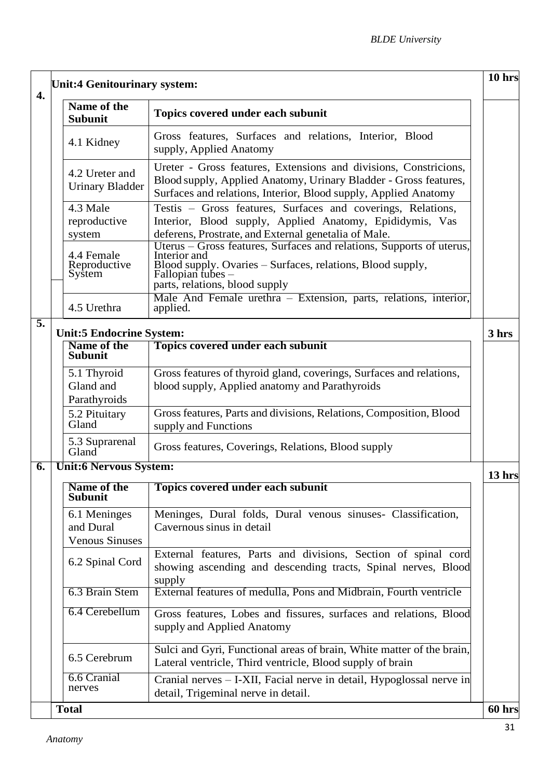| 4. |                               | <b>Unit:4 Genitourinary system:</b>                |                                                                                                                                                                                                             | 10 hrs |
|----|-------------------------------|----------------------------------------------------|-------------------------------------------------------------------------------------------------------------------------------------------------------------------------------------------------------------|--------|
|    |                               | Name of the<br><b>Subunit</b>                      | Topics covered under each subunit                                                                                                                                                                           |        |
|    |                               | 4.1 Kidney                                         | Gross features, Surfaces and relations, Interior, Blood<br>supply, Applied Anatomy                                                                                                                          |        |
|    |                               | 4.2 Ureter and<br><b>Urinary Bladder</b>           | Ureter - Gross features, Extensions and divisions, Constricions,<br>Blood supply, Applied Anatomy, Urinary Bladder - Gross features,<br>Surfaces and relations, Interior, Blood supply, Applied Anatomy     |        |
|    |                               | 4.3 Male<br>reproductive<br>system                 | Testis – Gross features, Surfaces and coverings, Relations,<br>Interior, Blood supply, Applied Anatomy, Epididymis, Vas<br>deferens, Prostrate, and External genetalia of Male.                             |        |
|    |                               | 4.4 Female<br>Reproductive<br>System               | Uterus – Gross features, Surfaces and relations, Supports of uterus,<br>Interior and<br>Blood supply. Ovaries – Surfaces, relations, Blood supply,<br>Fallopian tubes $-$<br>parts, relations, blood supply |        |
|    |                               | 4.5 Urethra                                        | Male And Female urethra - Extension, parts, relations, interior,<br>applied.                                                                                                                                |        |
| 5. |                               | <b>Unit:5 Endocrine System:</b>                    |                                                                                                                                                                                                             | 3 hrs  |
|    |                               | Name of the<br><b>Subunit</b>                      | Topics covered under each subunit                                                                                                                                                                           |        |
|    |                               | 5.1 Thyroid<br>Gland and<br>Parathyroids           | Gross features of thyroid gland, coverings, Surfaces and relations,<br>blood supply, Applied anatomy and Parathyroids                                                                                       |        |
|    |                               | 5.2 Pituitary<br>Gland                             | Gross features, Parts and divisions, Relations, Composition, Blood<br>supply and Functions                                                                                                                  |        |
|    |                               | 5.3 Suprarenal<br>Gland <sup>-</sup>               | Gross features, Coverings, Relations, Blood supply                                                                                                                                                          |        |
| 6. | <b>Unit:6 Nervous System:</b> |                                                    |                                                                                                                                                                                                             | 13 hrs |
|    |                               | Name of the<br><b>Subunit</b>                      | <b>Topics covered under each subunit</b>                                                                                                                                                                    |        |
|    |                               | 6.1 Meninges<br>and Dural<br><b>Venous Sinuses</b> | Meninges, Dural folds, Dural venous sinuses- Classification,<br>Cavernous sinus in detail                                                                                                                   |        |
|    |                               | 6.2 Spinal Cord                                    | External features, Parts and divisions, Section of spinal cord<br>showing ascending and descending tracts, Spinal nerves, Blood<br>supply                                                                   |        |
|    |                               | 6.3 Brain Stem                                     | External features of medulla, Pons and Midbrain, Fourth ventricle                                                                                                                                           |        |
|    |                               | 6.4 Cerebellum                                     | Gross features, Lobes and fissures, surfaces and relations, Blood<br>supply and Applied Anatomy                                                                                                             |        |
|    |                               | 6.5 Cerebrum                                       | Sulci and Gyri, Functional areas of brain, White matter of the brain,<br>Lateral ventricle, Third ventricle, Blood supply of brain                                                                          |        |
|    |                               | 6.6 Cranial<br>nerves                              | Cranial nerves – I-XII, Facial nerve in detail, Hypoglossal nerve in<br>detail, Trigeminal nerve in detail.                                                                                                 |        |
|    |                               | <b>Total</b>                                       |                                                                                                                                                                                                             | 60 hrs |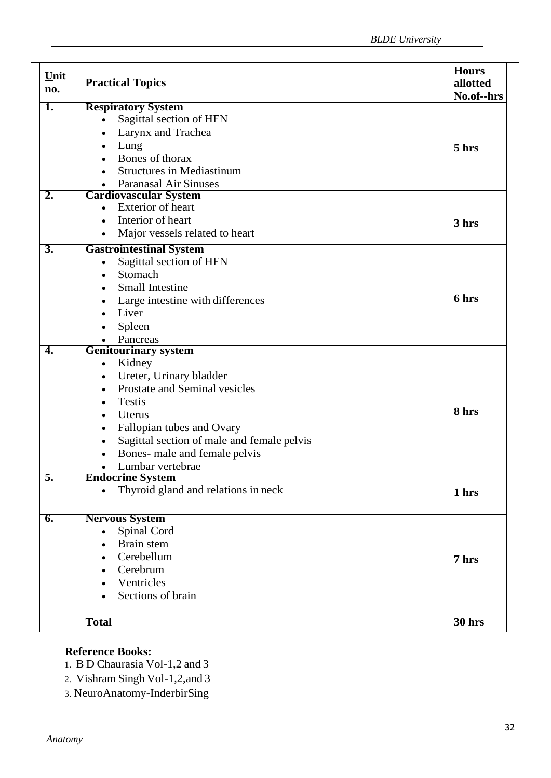| $Unit$<br>no.    | <b>Practical Topics</b>                                        | <b>Hours</b><br>allotted<br>No.of--hrs |
|------------------|----------------------------------------------------------------|----------------------------------------|
| 1.               | <b>Respiratory System</b>                                      |                                        |
|                  | Sagittal section of HFN<br>$\bullet$                           |                                        |
|                  | Larynx and Trachea                                             |                                        |
|                  | Lung<br>$\bullet$                                              | 5 hrs                                  |
|                  | Bones of thorax                                                |                                        |
|                  | <b>Structures in Mediastinum</b>                               |                                        |
|                  | <b>Paranasal Air Sinuses</b>                                   |                                        |
| $\overline{2}$ . | <b>Cardiovascular System</b>                                   |                                        |
|                  | <b>Exterior</b> of heart<br>$\bullet$                          |                                        |
|                  | Interior of heart<br>$\bullet$                                 | 3 hrs                                  |
|                  | Major vessels related to heart                                 |                                        |
| $\overline{3}$ . | <b>Gastrointestinal System</b>                                 |                                        |
|                  | Sagittal section of HFN<br>$\bullet$                           |                                        |
|                  | Stomach<br>$\bullet$                                           |                                        |
|                  | <b>Small Intestine</b>                                         |                                        |
|                  | Large intestine with differences                               | 6 hrs                                  |
|                  | Liver                                                          |                                        |
|                  | Spleen<br>$\bullet$                                            |                                        |
|                  | Pancreas                                                       |                                        |
| 4.               | <b>Genitourinary system</b>                                    |                                        |
|                  | Kidney<br>$\bullet$                                            |                                        |
|                  | Ureter, Urinary bladder<br>$\bullet$                           |                                        |
|                  | Prostate and Seminal vesicles<br>$\bullet$                     |                                        |
|                  | <b>Testis</b>                                                  |                                        |
|                  | Uterus<br>$\bullet$                                            | 8 hrs                                  |
|                  | Fallopian tubes and Ovary                                      |                                        |
|                  | $\bullet$                                                      |                                        |
|                  | Sagittal section of male and female pelvis<br>$\bullet$        |                                        |
|                  | Bones- male and female pelvis<br>$\bullet$                     |                                        |
| 5.               | Lumbar vertebrae                                               |                                        |
|                  | <b>Endocrine System</b><br>Thyroid gland and relations in neck |                                        |
|                  | $\bullet$                                                      | 1 hrs                                  |
| $\overline{6}$ . | <b>Nervous System</b>                                          |                                        |
|                  | Spinal Cord<br>$\bullet$                                       |                                        |
|                  | Brain stem                                                     |                                        |
|                  | Cerebellum                                                     | 7 hrs                                  |
|                  | Cerebrum                                                       |                                        |
|                  | Ventricles                                                     |                                        |
|                  | Sections of brain                                              |                                        |
|                  |                                                                |                                        |
|                  | <b>Total</b>                                                   | <b>30 hrs</b>                          |
|                  |                                                                |                                        |

## **Reference Books:**

1. B D Chaurasia Vol-1,2 and 3

- 2. Vishram Singh Vol-1,2,and 3
- 3. NeuroAnatomy-InderbirSing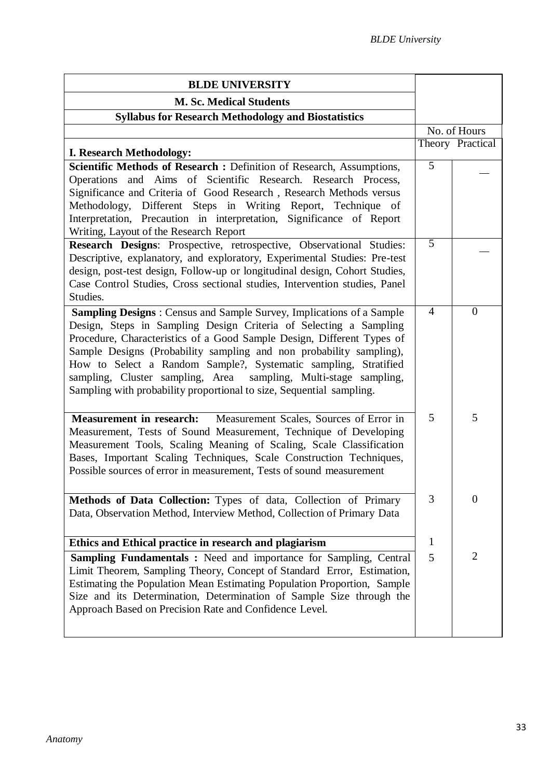| <b>BLDE UNIVERSITY</b>                                                                                                                                                                                                                                                                                                                                                                                                                                                                                    |                |                  |
|-----------------------------------------------------------------------------------------------------------------------------------------------------------------------------------------------------------------------------------------------------------------------------------------------------------------------------------------------------------------------------------------------------------------------------------------------------------------------------------------------------------|----------------|------------------|
| <b>M. Sc. Medical Students</b>                                                                                                                                                                                                                                                                                                                                                                                                                                                                            |                |                  |
| <b>Syllabus for Research Methodology and Biostatistics</b>                                                                                                                                                                                                                                                                                                                                                                                                                                                |                |                  |
|                                                                                                                                                                                                                                                                                                                                                                                                                                                                                                           |                | No. of Hours     |
| <b>I. Research Methodology:</b>                                                                                                                                                                                                                                                                                                                                                                                                                                                                           |                | Theory Practical |
| Scientific Methods of Research: Definition of Research, Assumptions,<br>Operations and Aims of Scientific Research. Research Process,<br>Significance and Criteria of Good Research, Research Methods versus<br>Methodology, Different Steps in Writing Report, Technique of<br>Interpretation, Precaution in interpretation, Significance of Report<br>Writing, Layout of the Research Report                                                                                                            | $\overline{5}$ |                  |
| Research Designs: Prospective, retrospective, Observational Studies:<br>Descriptive, explanatory, and exploratory, Experimental Studies: Pre-test<br>design, post-test design, Follow-up or longitudinal design, Cohort Studies,<br>Case Control Studies, Cross sectional studies, Intervention studies, Panel<br>Studies.                                                                                                                                                                                | $\overline{5}$ |                  |
| Sampling Designs: Census and Sample Survey, Implications of a Sample<br>Design, Steps in Sampling Design Criteria of Selecting a Sampling<br>Procedure, Characteristics of a Good Sample Design, Different Types of<br>Sample Designs (Probability sampling and non probability sampling),<br>How to Select a Random Sample?, Systematic sampling, Stratified<br>sampling, Cluster sampling, Area sampling, Multi-stage sampling,<br>Sampling with probability proportional to size, Sequential sampling. | $\overline{4}$ | $\overline{0}$   |
| Measurement in research: Measurement Scales, Sources of Error in<br>Measurement, Tests of Sound Measurement, Technique of Developing<br>Measurement Tools, Scaling Meaning of Scaling, Scale Classification<br>Bases, Important Scaling Techniques, Scale Construction Techniques,<br>Possible sources of error in measurement, Tests of sound measurement                                                                                                                                                | 5              | 5                |
| Methods of Data Collection: Types of data, Collection of Primary<br>Data, Observation Method, Interview Method, Collection of Primary Data                                                                                                                                                                                                                                                                                                                                                                | 3              | $\overline{0}$   |
| Ethics and Ethical practice in research and plagiarism                                                                                                                                                                                                                                                                                                                                                                                                                                                    | 1              |                  |
| Sampling Fundamentals: Need and importance for Sampling, Central<br>Limit Theorem, Sampling Theory, Concept of Standard Error, Estimation,<br>Estimating the Population Mean Estimating Population Proportion, Sample<br>Size and its Determination, Determination of Sample Size through the<br>Approach Based on Precision Rate and Confidence Level.                                                                                                                                                   | 5              | $\overline{2}$   |